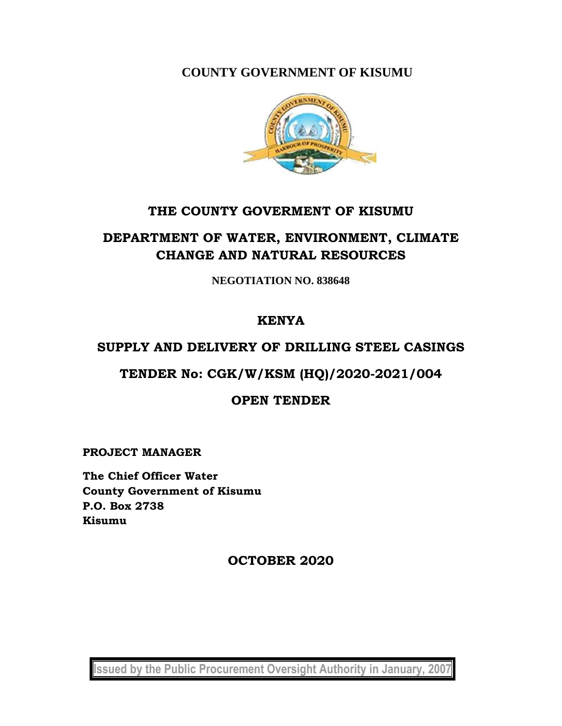**COUNTY GOVERNMENT OF KISUMU**



#### **THE COUNTY GOVERMENT OF KISUMU**

## **DEPARTMENT OF WATER, ENVIRONMENT, CLIMATE CHANGE AND NATURAL RESOURCES**

**NEGOTIATION NO. 838648**

## **KENYA**

#### **SUPPLY AND DELIVERY OF DRILLING STEEL CASINGS**

## **TENDER No: CGK/W/KSM (HQ)/2020-2021/004**

#### **OPEN TENDER**

**PROJECT MANAGER**

**The Chief Officer Water County Government of Kisumu P.O. Box 2738 Kisumu**

**OCTOBER 2020**

**Issued by the Public Procurement Oversight Authority in January, 2007**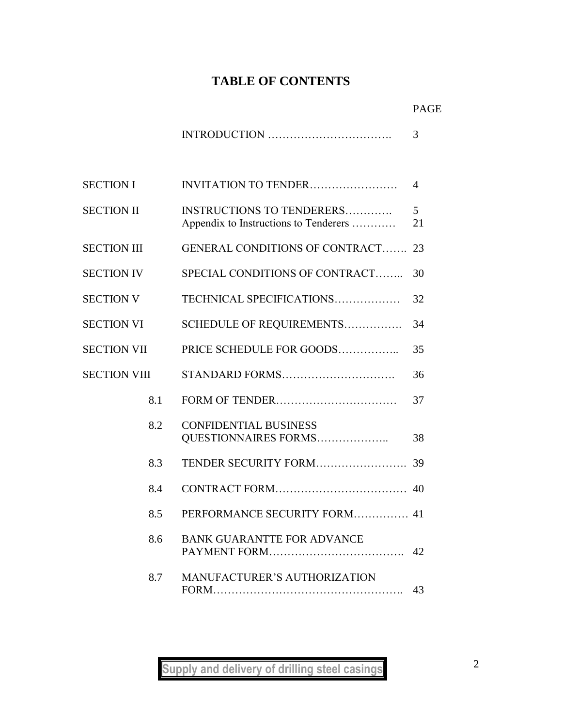## **TABLE OF CONTENTS**

|                     |     |                                                                           | <b>PAGE</b> |
|---------------------|-----|---------------------------------------------------------------------------|-------------|
|                     |     |                                                                           | 3           |
|                     |     |                                                                           |             |
| <b>SECTION I</b>    |     | INVITATION TO TENDER                                                      | 4           |
| <b>SECTION II</b>   |     | <b>INSTRUCTIONS TO TENDERERS</b><br>Appendix to Instructions to Tenderers | 5<br>21     |
| <b>SECTION III</b>  |     | GENERAL CONDITIONS OF CONTRACT                                            | 23          |
| <b>SECTION IV</b>   |     | SPECIAL CONDITIONS OF CONTRACT                                            | 30          |
| <b>SECTION V</b>    |     | TECHNICAL SPECIFICATIONS                                                  | 32          |
| <b>SECTION VI</b>   |     | SCHEDULE OF REQUIREMENTS                                                  | 34          |
| <b>SECTION VII</b>  |     | PRICE SCHEDULE FOR GOODS                                                  | 35          |
| <b>SECTION VIII</b> |     |                                                                           | 36          |
|                     | 8.1 |                                                                           | 37          |
|                     | 8.2 | <b>CONFIDENTIAL BUSINESS</b><br>QUESTIONNAIRES FORMS                      | 38          |
|                     | 8.3 |                                                                           |             |
|                     | 8.4 |                                                                           |             |
|                     | 8.5 | PERFORMANCE SECURITY FORM                                                 | 41          |
|                     | 8.6 | <b>BANK GUARANTTE FOR ADVANCE</b>                                         | 42          |
|                     | 8.7 | <b>MANUFACTURER'S AUTHORIZATION</b>                                       | 43          |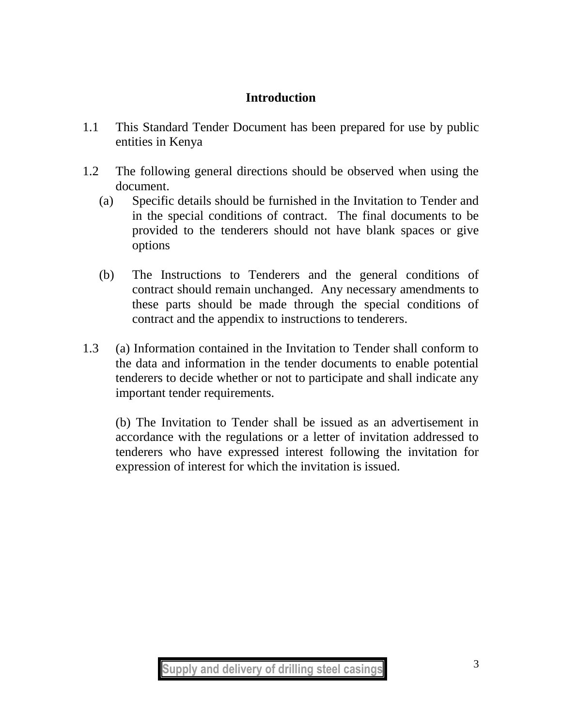## **Introduction**

- 1.1 This Standard Tender Document has been prepared for use by public entities in Kenya
- 1.2 The following general directions should be observed when using the document.
	- (a) Specific details should be furnished in the Invitation to Tender and in the special conditions of contract. The final documents to be provided to the tenderers should not have blank spaces or give options
	- (b) The Instructions to Tenderers and the general conditions of contract should remain unchanged. Any necessary amendments to these parts should be made through the special conditions of contract and the appendix to instructions to tenderers.
- 1.3 (a) Information contained in the Invitation to Tender shall conform to the data and information in the tender documents to enable potential tenderers to decide whether or not to participate and shall indicate any important tender requirements.

(b) The Invitation to Tender shall be issued as an advertisement in accordance with the regulations or a letter of invitation addressed to tenderers who have expressed interest following the invitation for expression of interest for which the invitation is issued.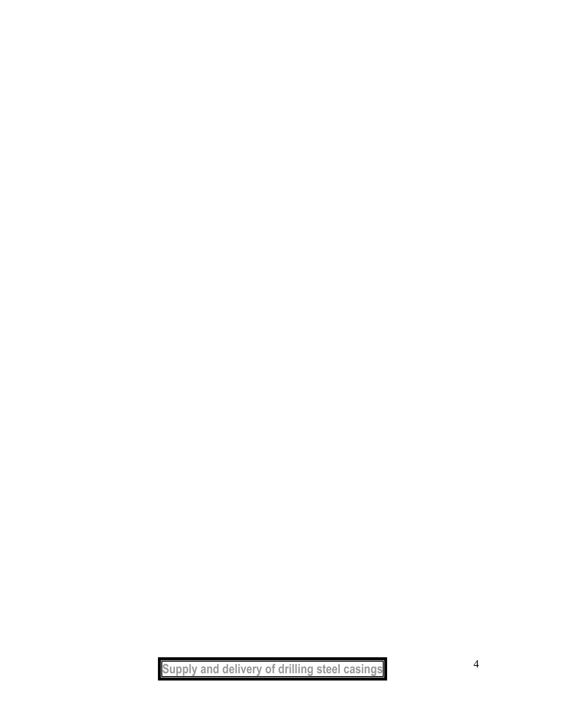**Supply and delivery of drilling steel casings** <sup>4</sup>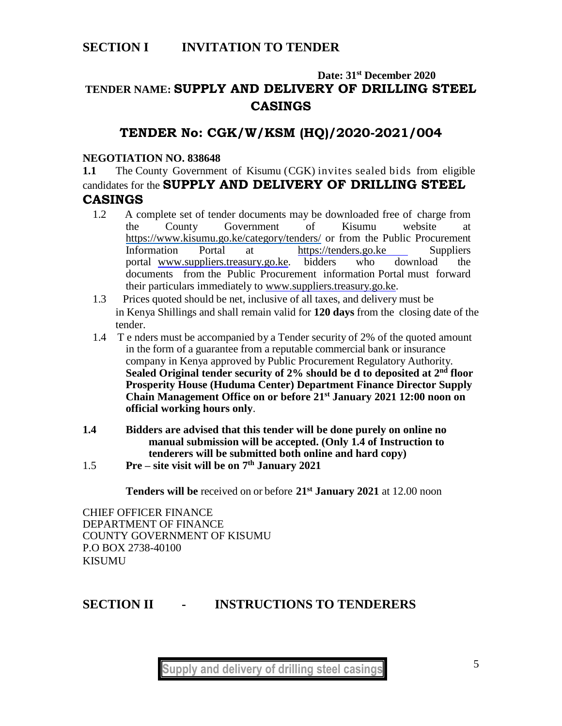## **Date: 31st December 2020 TENDER NAME: SUPPLY AND DELIVERY OF DRILLING STEEL CASINGS**

### **TENDER No: CGK/W/KSM (HQ)/2020-2021/004**

#### **NEGOTIATION NO. 838648**

**1.1** The County Government of Kisumu (CGK) invites sealed bids from eligible candidates for the **SUPPLY AND DELIVERY OF DRILLING STEEL CASINGS**

- 1.2 A complete set of tender documents may be downloaded free of charge from the County Government of Kisumu website at <https://www.kisumu.go.ke/category/tenders/> or from the Public Procurement Information Portal at [https://tenders.go.ke](https://tenders.go.ke/) Suppliers portal [www.suppliers.treasury.go.ke.](http://www.suppliers.treasury.go.ke/) bidders who download the documents from the Public Procurement information Portal must forward their particulars immediately to [www.suppliers.treasury.go.ke.](http://www.suppliers.treasury.go.ke/)
- 1.3 Prices quoted should be net, inclusive of all taxes, and delivery must be in Kenya Shillings and shall remain valid for **120 days** from the closing date of the tender.
- 1.4 T e nders must be accompanied by a Tender security of 2% of the quoted amount in the form of a guarantee from a reputable commercial bank or insurance company in Kenya approved by Public Procurement Regulatory Authority. **Sealed Original tender security of 2% should be d to deposited at 2nd floor Prosperity House (Huduma Center) Department Finance Director Supply Chain Management Office on or before 21st January 2021 12:00 noon on official working hours only**.
- **1.4 Bidders are advised that this tender will be done purely on online no manual submission will be accepted. (Only 1.4 of Instruction to tenderers will be submitted both online and hard copy)**
- 1.5 **Pre – site visit will be on 7 th January 2021**

**Tenders will be** received on or before **21st January 2021** at 12.00 noon

CHIEF OFFICER FINANCE DEPARTMENT OF FINANCE COUNTY GOVERNMENT OF KISUMU P.O BOX 2738-40100 KISUMU

#### **SECTION II - INSTRUCTIONS TO TENDERERS**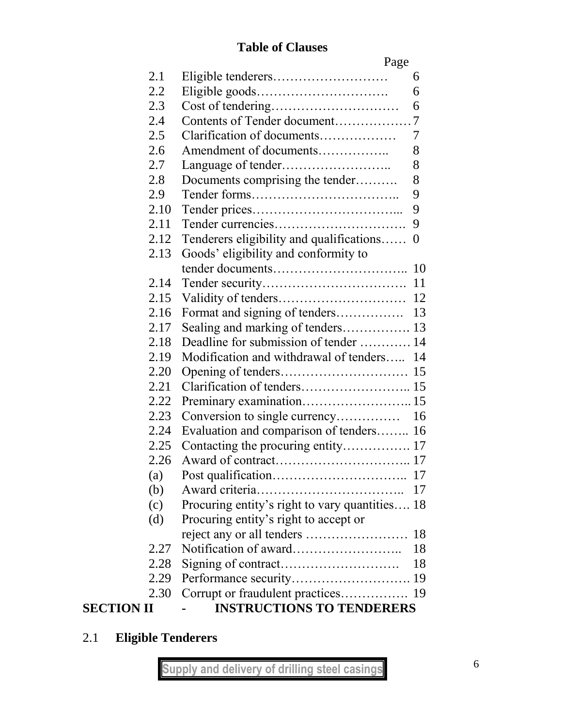## **Table of Clauses**

|                   | Page                                           |          |
|-------------------|------------------------------------------------|----------|
| 2.1               |                                                | 6        |
| 2.2               |                                                | 6        |
| 2.3               |                                                | 6        |
| 2.4               |                                                |          |
| 2.5               | Clarification of documents                     | 7        |
| 2.6               | Amendment of documents                         | 8        |
| 2.7               |                                                | 8        |
| 2.8               | Documents comprising the tender                | 8        |
| 2.9               |                                                | 9        |
| 2.10              |                                                | 9        |
| 2.11              |                                                | 9        |
| 2.12              | Tenderers eligibility and qualifications       | $\theta$ |
| 2.13              | Goods' eligibility and conformity to           |          |
|                   |                                                |          |
| 2.14              |                                                |          |
| 2.15              |                                                |          |
| 2.16              |                                                |          |
| 2.17              | Sealing and marking of tenders 13              |          |
| 2.18              | Deadline for submission of tender  14          |          |
| 2.19              | Modification and withdrawal of tenders 14      |          |
| 2.20              |                                                |          |
| 2.21              | Clarification of tenders 15                    |          |
| 2.22              |                                                |          |
| 2.23              |                                                |          |
| 2.24              | Evaluation and comparison of tenders 16        |          |
| 2.25              | Contacting the procuring entity 17             |          |
| 2.26              |                                                |          |
| (a)               |                                                | 17       |
| (b)               |                                                | 17       |
| (c)               | Procuring entity's right to vary quantities 18 |          |
| (d)               | Procuring entity's right to accept or          |          |
|                   |                                                | 18       |
| 2.27              |                                                | 18       |
| 2.28              |                                                | 18       |
| 2.29              |                                                |          |
| 2.30              | Corrupt or fraudulent practices 19             |          |
| <b>SECTION II</b> | <b>INSTRUCTIONS TO TENDERERS</b>               |          |

## 2.1 **Eligible Tenderers**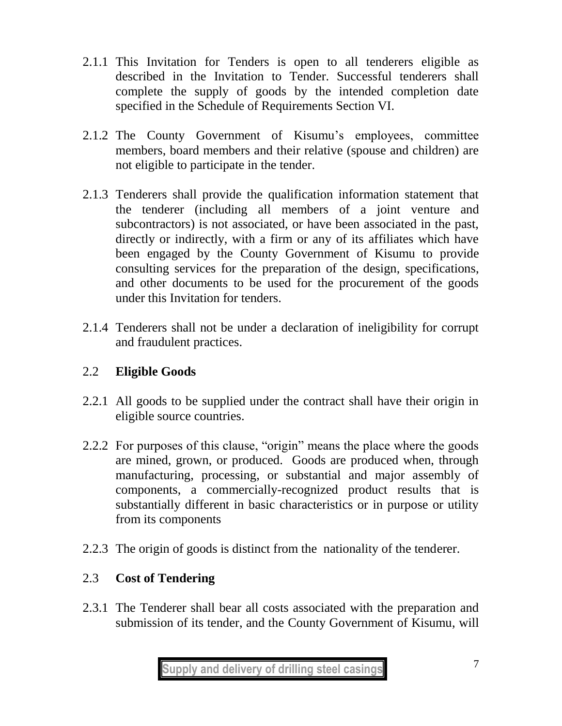- 2.1.1 This Invitation for Tenders is open to all tenderers eligible as described in the Invitation to Tender. Successful tenderers shall complete the supply of goods by the intended completion date specified in the Schedule of Requirements Section VI.
- 2.1.2 The County Government of Kisumu's employees, committee members, board members and their relative (spouse and children) are not eligible to participate in the tender.
- 2.1.3 Tenderers shall provide the qualification information statement that the tenderer (including all members of a joint venture and subcontractors) is not associated, or have been associated in the past, directly or indirectly, with a firm or any of its affiliates which have been engaged by the County Government of Kisumu to provide consulting services for the preparation of the design, specifications, and other documents to be used for the procurement of the goods under this Invitation for tenders.
- 2.1.4 Tenderers shall not be under a declaration of ineligibility for corrupt and fraudulent practices.

## 2.2 **Eligible Goods**

- 2.2.1 All goods to be supplied under the contract shall have their origin in eligible source countries.
- 2.2.2 For purposes of this clause, "origin" means the place where the goods are mined, grown, or produced. Goods are produced when, through manufacturing, processing, or substantial and major assembly of components, a commercially-recognized product results that is substantially different in basic characteristics or in purpose or utility from its components
- 2.2.3 The origin of goods is distinct from the nationality of the tenderer.

## 2.3 **Cost of Tendering**

2.3.1 The Tenderer shall bear all costs associated with the preparation and submission of its tender, and the County Government of Kisumu, will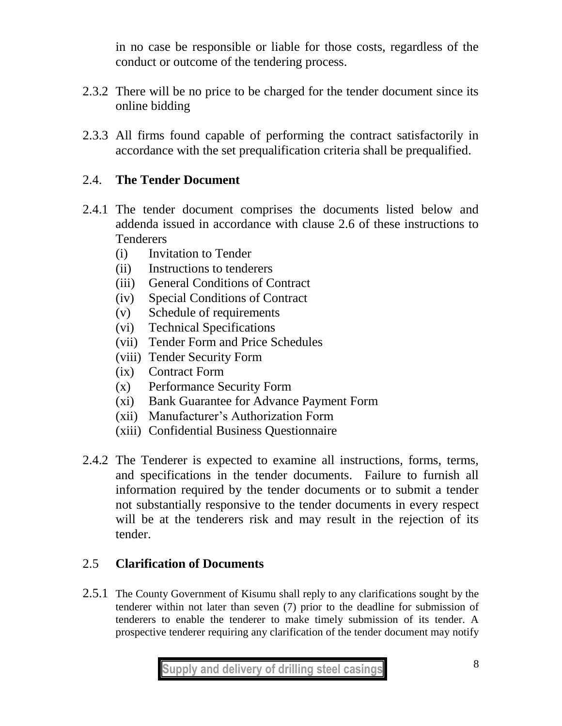in no case be responsible or liable for those costs, regardless of the conduct or outcome of the tendering process.

- 2.3.2 There will be no price to be charged for the tender document since its online bidding
- 2.3.3 All firms found capable of performing the contract satisfactorily in accordance with the set prequalification criteria shall be prequalified.

#### 2.4. **The Tender Document**

- 2.4.1 The tender document comprises the documents listed below and addenda issued in accordance with clause 2.6 of these instructions to **Tenderers** 
	- (i) Invitation to Tender
	- (ii) Instructions to tenderers
	- (iii) General Conditions of Contract
	- (iv) Special Conditions of Contract
	- (v) Schedule of requirements
	- (vi) Technical Specifications
	- (vii) Tender Form and Price Schedules
	- (viii) Tender Security Form
	- (ix) Contract Form
	- (x) Performance Security Form
	- (xi) Bank Guarantee for Advance Payment Form
	- (xii) Manufacturer's Authorization Form
	- (xiii) Confidential Business Questionnaire
- 2.4.2 The Tenderer is expected to examine all instructions, forms, terms, and specifications in the tender documents. Failure to furnish all information required by the tender documents or to submit a tender not substantially responsive to the tender documents in every respect will be at the tenderers risk and may result in the rejection of its tender.

## 2.5 **Clarification of Documents**

2.5.1 The County Government of Kisumu shall reply to any clarifications sought by the tenderer within not later than seven (7) prior to the deadline for submission of tenderers to enable the tenderer to make timely submission of its tender. A prospective tenderer requiring any clarification of the tender document may notify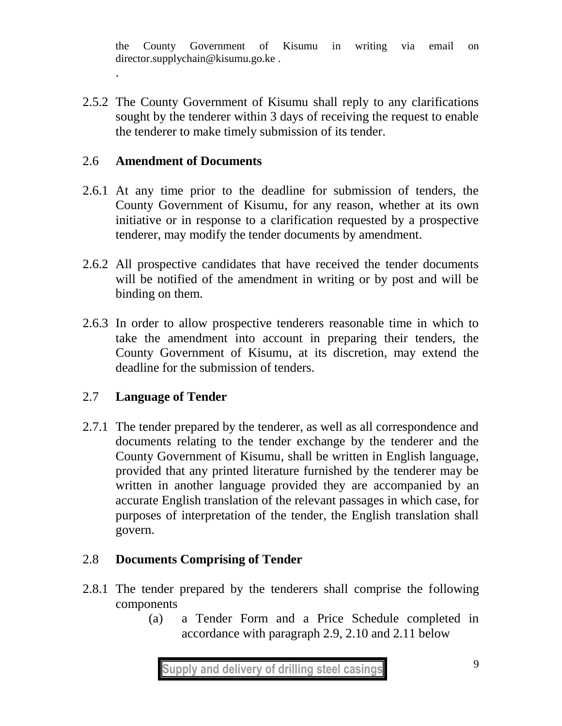the County Government of Kisumu in writing via email on director.supplychain@kisumu.go.ke .

2.5.2 The County Government of Kisumu shall reply to any clarifications sought by the tenderer within 3 days of receiving the request to enable the tenderer to make timely submission of its tender.

## 2.6 **Amendment of Documents**

.

- 2.6.1 At any time prior to the deadline for submission of tenders, the County Government of Kisumu, for any reason, whether at its own initiative or in response to a clarification requested by a prospective tenderer, may modify the tender documents by amendment.
- 2.6.2 All prospective candidates that have received the tender documents will be notified of the amendment in writing or by post and will be binding on them.
- 2.6.3 In order to allow prospective tenderers reasonable time in which to take the amendment into account in preparing their tenders, the County Government of Kisumu, at its discretion, may extend the deadline for the submission of tenders.

## 2.7 **Language of Tender**

2.7.1 The tender prepared by the tenderer, as well as all correspondence and documents relating to the tender exchange by the tenderer and the County Government of Kisumu, shall be written in English language, provided that any printed literature furnished by the tenderer may be written in another language provided they are accompanied by an accurate English translation of the relevant passages in which case, for purposes of interpretation of the tender, the English translation shall govern.

## 2.8 **Documents Comprising of Tender**

- 2.8.1 The tender prepared by the tenderers shall comprise the following components
	- (a) a Tender Form and a Price Schedule completed in accordance with paragraph 2.9, 2.10 and 2.11 below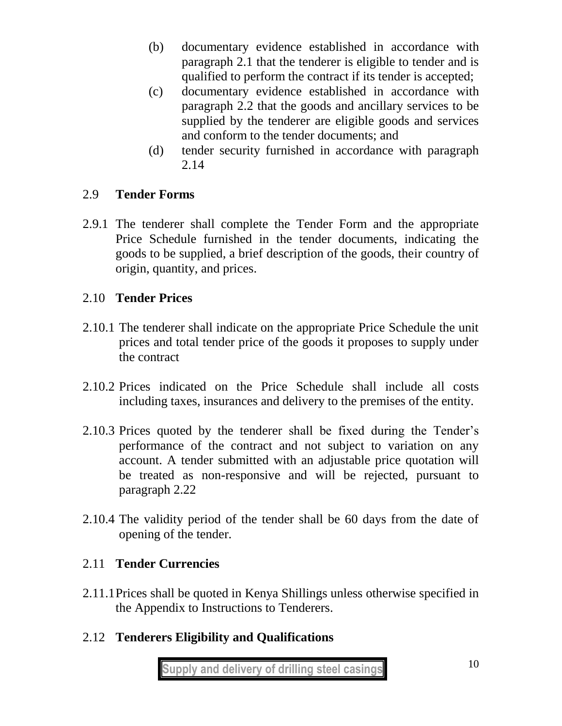- (b) documentary evidence established in accordance with paragraph 2.1 that the tenderer is eligible to tender and is qualified to perform the contract if its tender is accepted;
- (c) documentary evidence established in accordance with paragraph 2.2 that the goods and ancillary services to be supplied by the tenderer are eligible goods and services and conform to the tender documents; and
- (d) tender security furnished in accordance with paragraph 2.14

#### 2.9 **Tender Forms**

2.9.1 The tenderer shall complete the Tender Form and the appropriate Price Schedule furnished in the tender documents, indicating the goods to be supplied, a brief description of the goods, their country of origin, quantity, and prices.

#### 2.10 **Tender Prices**

- 2.10.1 The tenderer shall indicate on the appropriate Price Schedule the unit prices and total tender price of the goods it proposes to supply under the contract
- 2.10.2 Prices indicated on the Price Schedule shall include all costs including taxes, insurances and delivery to the premises of the entity.
- 2.10.3 Prices quoted by the tenderer shall be fixed during the Tender's performance of the contract and not subject to variation on any account. A tender submitted with an adjustable price quotation will be treated as non-responsive and will be rejected, pursuant to paragraph 2.22
- 2.10.4 The validity period of the tender shall be 60 days from the date of opening of the tender.

## 2.11 **Tender Currencies**

2.11.1Prices shall be quoted in Kenya Shillings unless otherwise specified in the Appendix to Instructions to Tenderers.

#### 2.12 **Tenderers Eligibility and Qualifications**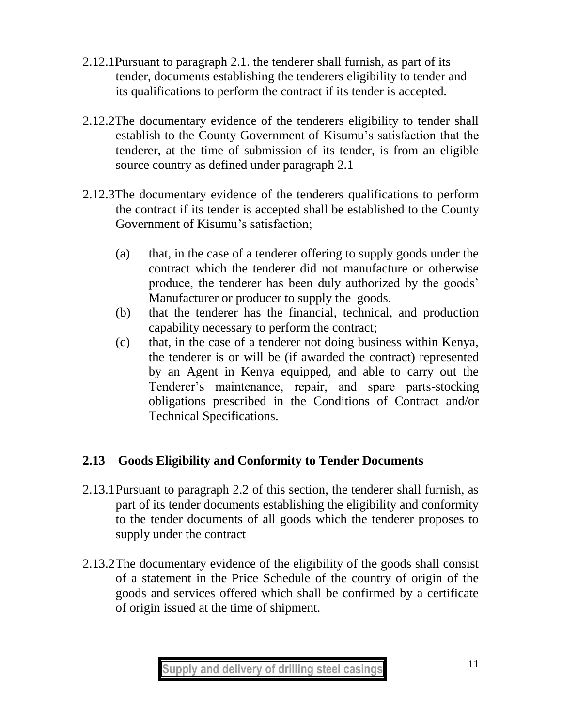- 2.12.1Pursuant to paragraph 2.1. the tenderer shall furnish, as part of its tender, documents establishing the tenderers eligibility to tender and its qualifications to perform the contract if its tender is accepted.
- 2.12.2The documentary evidence of the tenderers eligibility to tender shall establish to the County Government of Kisumu's satisfaction that the tenderer, at the time of submission of its tender, is from an eligible source country as defined under paragraph 2.1
- 2.12.3The documentary evidence of the tenderers qualifications to perform the contract if its tender is accepted shall be established to the County Government of Kisumu's satisfaction;
	- (a) that, in the case of a tenderer offering to supply goods under the contract which the tenderer did not manufacture or otherwise produce, the tenderer has been duly authorized by the goods' Manufacturer or producer to supply the goods.
	- (b) that the tenderer has the financial, technical, and production capability necessary to perform the contract;
	- (c) that, in the case of a tenderer not doing business within Kenya, the tenderer is or will be (if awarded the contract) represented by an Agent in Kenya equipped, and able to carry out the Tenderer's maintenance, repair, and spare parts-stocking obligations prescribed in the Conditions of Contract and/or Technical Specifications.

## **2.13 Goods Eligibility and Conformity to Tender Documents**

- 2.13.1Pursuant to paragraph 2.2 of this section, the tenderer shall furnish, as part of its tender documents establishing the eligibility and conformity to the tender documents of all goods which the tenderer proposes to supply under the contract
- 2.13.2The documentary evidence of the eligibility of the goods shall consist of a statement in the Price Schedule of the country of origin of the goods and services offered which shall be confirmed by a certificate of origin issued at the time of shipment.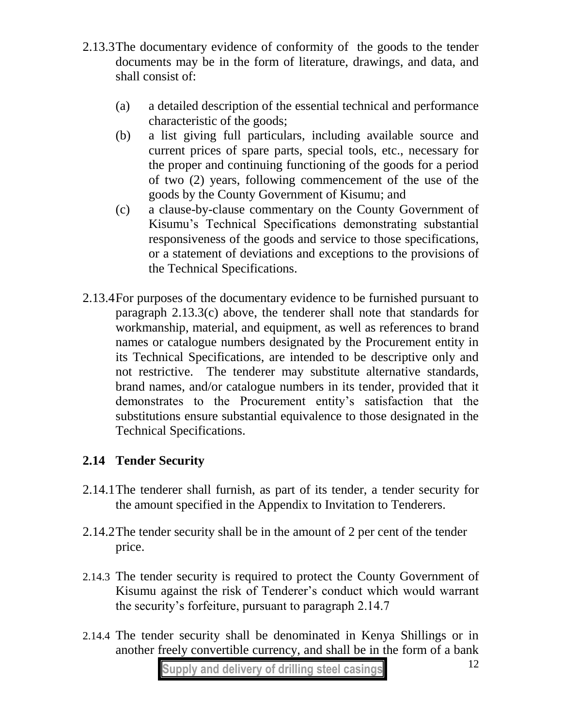- 2.13.3The documentary evidence of conformity of the goods to the tender documents may be in the form of literature, drawings, and data, and shall consist of:
	- (a) a detailed description of the essential technical and performance characteristic of the goods;
	- (b) a list giving full particulars, including available source and current prices of spare parts, special tools, etc., necessary for the proper and continuing functioning of the goods for a period of two (2) years, following commencement of the use of the goods by the County Government of Kisumu; and
	- (c) a clause-by-clause commentary on the County Government of Kisumu's Technical Specifications demonstrating substantial responsiveness of the goods and service to those specifications, or a statement of deviations and exceptions to the provisions of the Technical Specifications.
- 2.13.4For purposes of the documentary evidence to be furnished pursuant to paragraph 2.13.3(c) above, the tenderer shall note that standards for workmanship, material, and equipment, as well as references to brand names or catalogue numbers designated by the Procurement entity in its Technical Specifications, are intended to be descriptive only and not restrictive. The tenderer may substitute alternative standards, brand names, and/or catalogue numbers in its tender, provided that it demonstrates to the Procurement entity's satisfaction that the substitutions ensure substantial equivalence to those designated in the Technical Specifications.

## **2.14 Tender Security**

- 2.14.1The tenderer shall furnish, as part of its tender, a tender security for the amount specified in the Appendix to Invitation to Tenderers.
- 2.14.2The tender security shall be in the amount of 2 per cent of the tender price.
- 2.14.3 The tender security is required to protect the County Government of Kisumu against the risk of Tenderer's conduct which would warrant the security's forfeiture, pursuant to paragraph 2.14.7
- 2.14.4 The tender security shall be denominated in Kenya Shillings or in another freely convertible currency, and shall be in the form of a bank

**Supply and delivery of drilling steel casings** <sup>12</sup>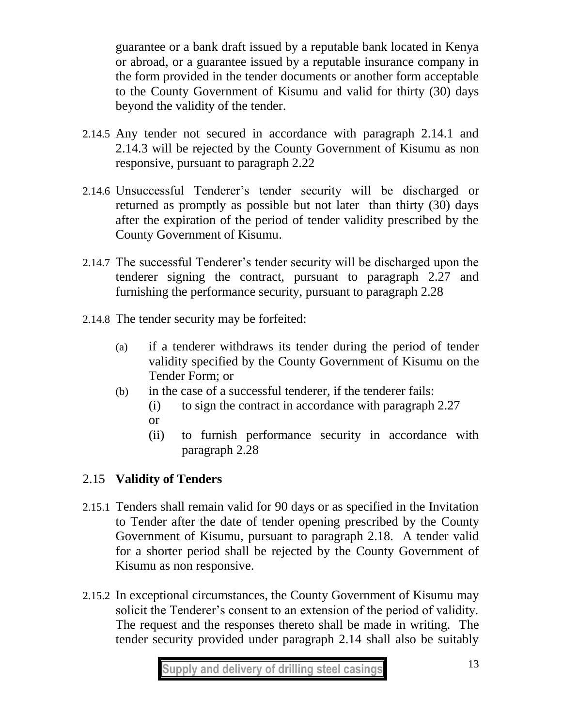guarantee or a bank draft issued by a reputable bank located in Kenya or abroad, or a guarantee issued by a reputable insurance company in the form provided in the tender documents or another form acceptable to the County Government of Kisumu and valid for thirty (30) days beyond the validity of the tender.

- 2.14.5 Any tender not secured in accordance with paragraph 2.14.1 and 2.14.3 will be rejected by the County Government of Kisumu as non responsive, pursuant to paragraph 2.22
- 2.14.6 Unsuccessful Tenderer's tender security will be discharged or returned as promptly as possible but not later than thirty (30) days after the expiration of the period of tender validity prescribed by the County Government of Kisumu.
- 2.14.7 The successful Tenderer's tender security will be discharged upon the tenderer signing the contract, pursuant to paragraph 2.27 and furnishing the performance security, pursuant to paragraph 2.28
- 2.14.8 The tender security may be forfeited:
	- (a) if a tenderer withdraws its tender during the period of tender validity specified by the County Government of Kisumu on the Tender Form; or
	- (b) in the case of a successful tenderer, if the tenderer fails:
		- (i) to sign the contract in accordance with paragraph 2.27
		- or
		- (ii) to furnish performance security in accordance with paragraph 2.28

## 2.15 **Validity of Tenders**

- 2.15.1 Tenders shall remain valid for 90 days or as specified in the Invitation to Tender after the date of tender opening prescribed by the County Government of Kisumu, pursuant to paragraph 2.18. A tender valid for a shorter period shall be rejected by the County Government of Kisumu as non responsive.
- 2.15.2 In exceptional circumstances, the County Government of Kisumu may solicit the Tenderer's consent to an extension of the period of validity. The request and the responses thereto shall be made in writing. The tender security provided under paragraph 2.14 shall also be suitably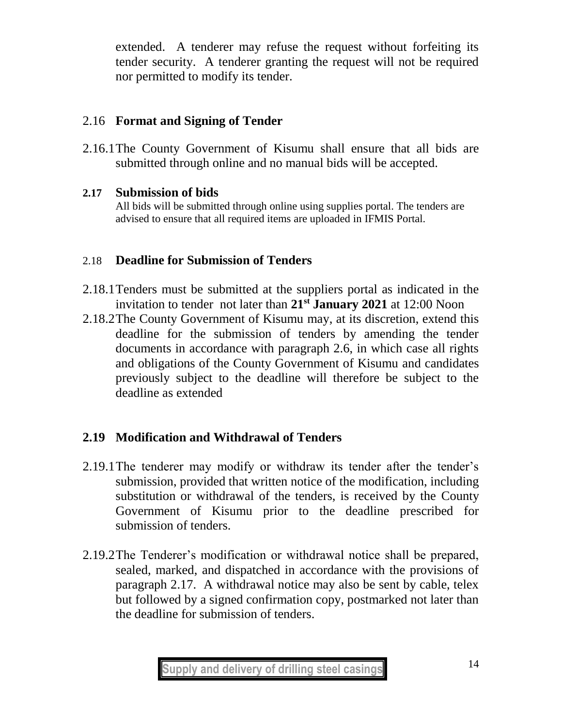extended. A tenderer may refuse the request without forfeiting its tender security. A tenderer granting the request will not be required nor permitted to modify its tender.

## 2.16 **Format and Signing of Tender**

2.16.1The County Government of Kisumu shall ensure that all bids are submitted through online and no manual bids will be accepted.

## **2.17 Submission of bids**

All bids will be submitted through online using supplies portal. The tenders are advised to ensure that all required items are uploaded in IFMIS Portal.

## 2.18 **Deadline for Submission of Tenders**

- 2.18.1Tenders must be submitted at the suppliers portal as indicated in the invitation to tender not later than **21st January 2021** at 12:00 Noon
- 2.18.2The County Government of Kisumu may, at its discretion, extend this deadline for the submission of tenders by amending the tender documents in accordance with paragraph 2.6, in which case all rights and obligations of the County Government of Kisumu and candidates previously subject to the deadline will therefore be subject to the deadline as extended

## **2.19 Modification and Withdrawal of Tenders**

- 2.19.1The tenderer may modify or withdraw its tender after the tender's submission, provided that written notice of the modification, including substitution or withdrawal of the tenders, is received by the County Government of Kisumu prior to the deadline prescribed for submission of tenders.
- 2.19.2The Tenderer's modification or withdrawal notice shall be prepared, sealed, marked, and dispatched in accordance with the provisions of paragraph 2.17. A withdrawal notice may also be sent by cable, telex but followed by a signed confirmation copy, postmarked not later than the deadline for submission of tenders.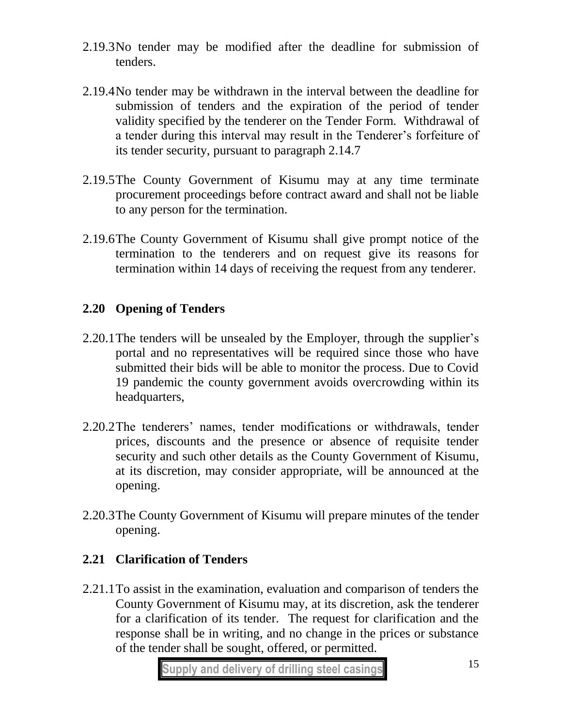- 2.19.3No tender may be modified after the deadline for submission of tenders.
- 2.19.4No tender may be withdrawn in the interval between the deadline for submission of tenders and the expiration of the period of tender validity specified by the tenderer on the Tender Form. Withdrawal of a tender during this interval may result in the Tenderer's forfeiture of its tender security, pursuant to paragraph 2.14.7
- 2.19.5The County Government of Kisumu may at any time terminate procurement proceedings before contract award and shall not be liable to any person for the termination.
- 2.19.6The County Government of Kisumu shall give prompt notice of the termination to the tenderers and on request give its reasons for termination within 14 days of receiving the request from any tenderer.

## **2.20 Opening of Tenders**

- 2.20.1The tenders will be unsealed by the Employer, through the supplier's portal and no representatives will be required since those who have submitted their bids will be able to monitor the process. Due to Covid 19 pandemic the county government avoids overcrowding within its headquarters,
- 2.20.2The tenderers' names, tender modifications or withdrawals, tender prices, discounts and the presence or absence of requisite tender security and such other details as the County Government of Kisumu, at its discretion, may consider appropriate, will be announced at the opening.
- 2.20.3The County Government of Kisumu will prepare minutes of the tender opening.

## **2.21 Clarification of Tenders**

2.21.1To assist in the examination, evaluation and comparison of tenders the County Government of Kisumu may, at its discretion, ask the tenderer for a clarification of its tender. The request for clarification and the response shall be in writing, and no change in the prices or substance of the tender shall be sought, offered, or permitted.

**Supply and delivery of drilling steel casings** <sup>15</sup>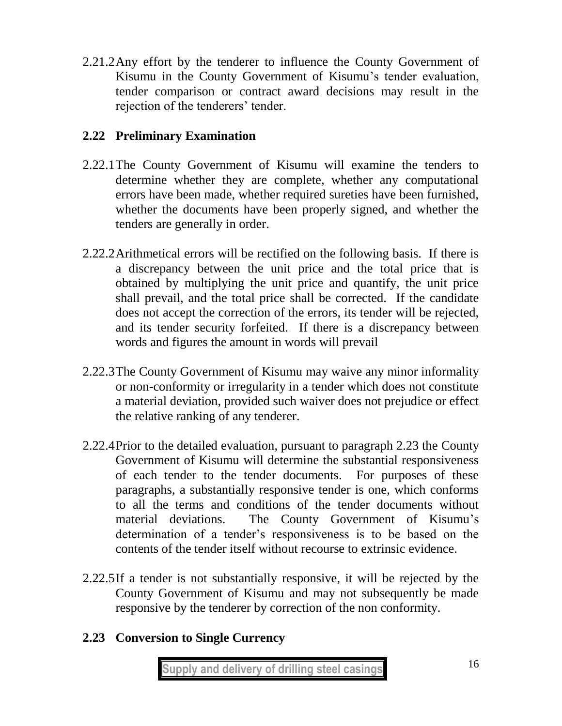2.21.2Any effort by the tenderer to influence the County Government of Kisumu in the County Government of Kisumu's tender evaluation, tender comparison or contract award decisions may result in the rejection of the tenderers' tender.

## **2.22 Preliminary Examination**

- 2.22.1The County Government of Kisumu will examine the tenders to determine whether they are complete, whether any computational errors have been made, whether required sureties have been furnished, whether the documents have been properly signed, and whether the tenders are generally in order.
- 2.22.2Arithmetical errors will be rectified on the following basis. If there is a discrepancy between the unit price and the total price that is obtained by multiplying the unit price and quantify, the unit price shall prevail, and the total price shall be corrected. If the candidate does not accept the correction of the errors, its tender will be rejected, and its tender security forfeited. If there is a discrepancy between words and figures the amount in words will prevail
- 2.22.3The County Government of Kisumu may waive any minor informality or non-conformity or irregularity in a tender which does not constitute a material deviation, provided such waiver does not prejudice or effect the relative ranking of any tenderer.
- 2.22.4Prior to the detailed evaluation, pursuant to paragraph 2.23 the County Government of Kisumu will determine the substantial responsiveness of each tender to the tender documents. For purposes of these paragraphs, a substantially responsive tender is one, which conforms to all the terms and conditions of the tender documents without material deviations. The County Government of Kisumu's determination of a tender's responsiveness is to be based on the contents of the tender itself without recourse to extrinsic evidence.
- 2.22.5If a tender is not substantially responsive, it will be rejected by the County Government of Kisumu and may not subsequently be made responsive by the tenderer by correction of the non conformity.

## **2.23 Conversion to Single Currency**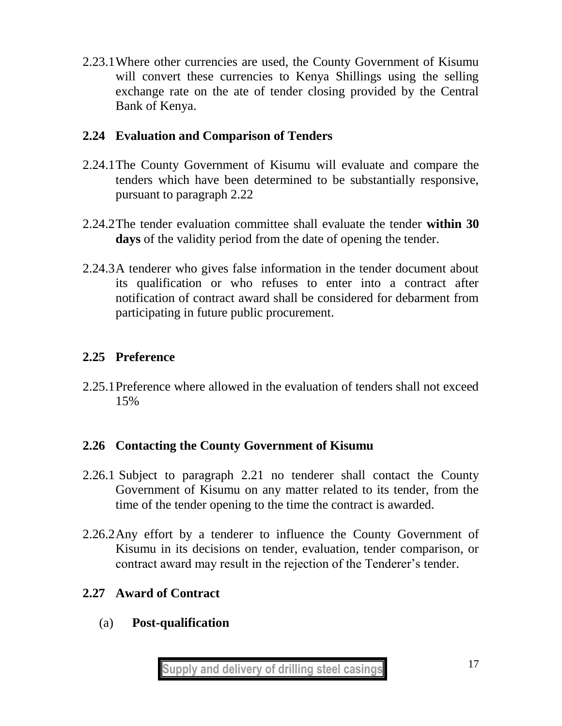2.23.1Where other currencies are used, the County Government of Kisumu will convert these currencies to Kenya Shillings using the selling exchange rate on the ate of tender closing provided by the Central Bank of Kenya.

## **2.24 Evaluation and Comparison of Tenders**

- 2.24.1The County Government of Kisumu will evaluate and compare the tenders which have been determined to be substantially responsive, pursuant to paragraph 2.22
- 2.24.2The tender evaluation committee shall evaluate the tender **within 30 days** of the validity period from the date of opening the tender.
- 2.24.3A tenderer who gives false information in the tender document about its qualification or who refuses to enter into a contract after notification of contract award shall be considered for debarment from participating in future public procurement.

## **2.25 Preference**

2.25.1Preference where allowed in the evaluation of tenders shall not exceed 15%

## **2.26 Contacting the County Government of Kisumu**

- 2.26.1 Subject to paragraph 2.21 no tenderer shall contact the County Government of Kisumu on any matter related to its tender, from the time of the tender opening to the time the contract is awarded.
- 2.26.2Any effort by a tenderer to influence the County Government of Kisumu in its decisions on tender, evaluation, tender comparison, or contract award may result in the rejection of the Tenderer's tender.

## **2.27 Award of Contract**

(a) **Post-qualification**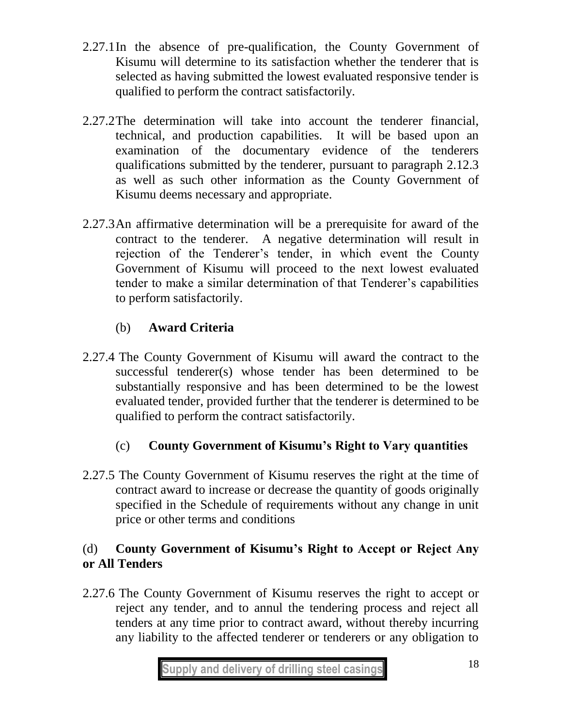- 2.27.1In the absence of pre-qualification, the County Government of Kisumu will determine to its satisfaction whether the tenderer that is selected as having submitted the lowest evaluated responsive tender is qualified to perform the contract satisfactorily.
- 2.27.2The determination will take into account the tenderer financial, technical, and production capabilities. It will be based upon an examination of the documentary evidence of the tenderers qualifications submitted by the tenderer, pursuant to paragraph 2.12.3 as well as such other information as the County Government of Kisumu deems necessary and appropriate.
- 2.27.3An affirmative determination will be a prerequisite for award of the contract to the tenderer. A negative determination will result in rejection of the Tenderer's tender, in which event the County Government of Kisumu will proceed to the next lowest evaluated tender to make a similar determination of that Tenderer's capabilities to perform satisfactorily.

## (b) **Award Criteria**

2.27.4 The County Government of Kisumu will award the contract to the successful tenderer(s) whose tender has been determined to be substantially responsive and has been determined to be the lowest evaluated tender, provided further that the tenderer is determined to be qualified to perform the contract satisfactorily.

## (c) **County Government of Kisumu's Right to Vary quantities**

2.27.5 The County Government of Kisumu reserves the right at the time of contract award to increase or decrease the quantity of goods originally specified in the Schedule of requirements without any change in unit price or other terms and conditions

## (d) **County Government of Kisumu's Right to Accept or Reject Any or All Tenders**

2.27.6 The County Government of Kisumu reserves the right to accept or reject any tender, and to annul the tendering process and reject all tenders at any time prior to contract award, without thereby incurring any liability to the affected tenderer or tenderers or any obligation to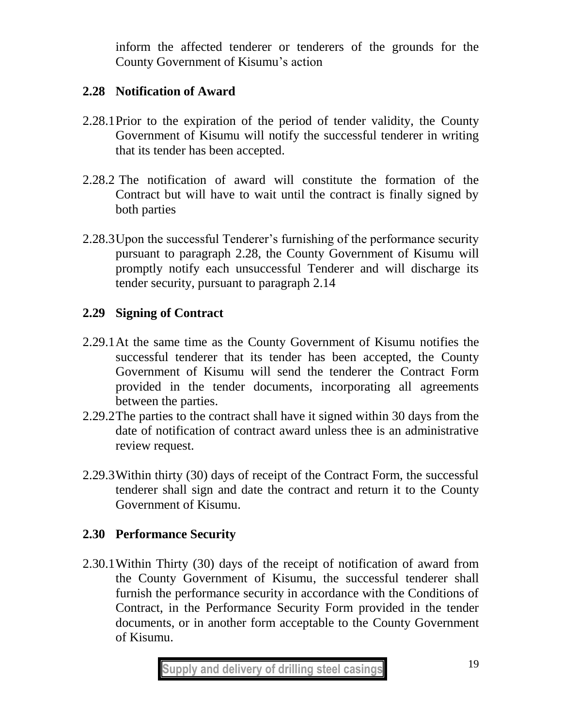inform the affected tenderer or tenderers of the grounds for the County Government of Kisumu's action

## **2.28 Notification of Award**

- 2.28.1Prior to the expiration of the period of tender validity, the County Government of Kisumu will notify the successful tenderer in writing that its tender has been accepted.
- 2.28.2 The notification of award will constitute the formation of the Contract but will have to wait until the contract is finally signed by both parties
- 2.28.3Upon the successful Tenderer's furnishing of the performance security pursuant to paragraph 2.28, the County Government of Kisumu will promptly notify each unsuccessful Tenderer and will discharge its tender security, pursuant to paragraph 2.14

## **2.29 Signing of Contract**

- 2.29.1At the same time as the County Government of Kisumu notifies the successful tenderer that its tender has been accepted, the County Government of Kisumu will send the tenderer the Contract Form provided in the tender documents, incorporating all agreements between the parties.
- 2.29.2The parties to the contract shall have it signed within 30 days from the date of notification of contract award unless thee is an administrative review request.
- 2.29.3Within thirty (30) days of receipt of the Contract Form, the successful tenderer shall sign and date the contract and return it to the County Government of Kisumu.

## **2.30 Performance Security**

2.30.1Within Thirty (30) days of the receipt of notification of award from the County Government of Kisumu, the successful tenderer shall furnish the performance security in accordance with the Conditions of Contract, in the Performance Security Form provided in the tender documents, or in another form acceptable to the County Government of Kisumu.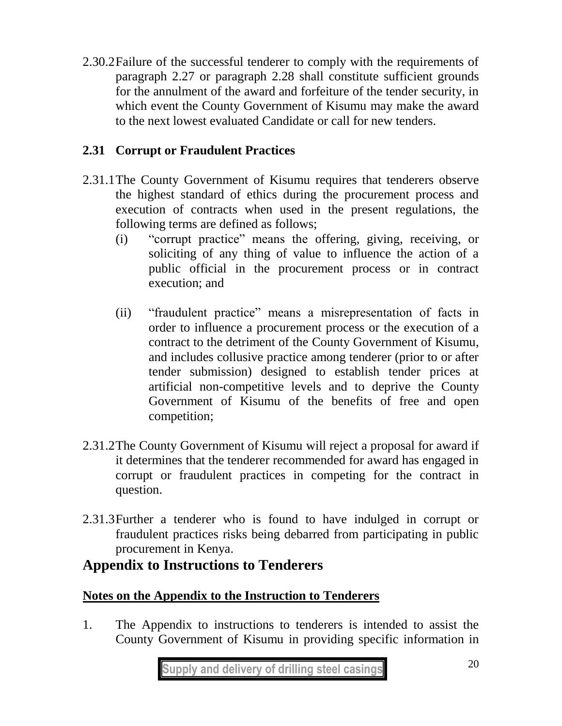2.30.2Failure of the successful tenderer to comply with the requirements of paragraph 2.27 or paragraph 2.28 shall constitute sufficient grounds for the annulment of the award and forfeiture of the tender security, in which event the County Government of Kisumu may make the award to the next lowest evaluated Candidate or call for new tenders.

## **2.31 Corrupt or Fraudulent Practices**

- 2.31.1The County Government of Kisumu requires that tenderers observe the highest standard of ethics during the procurement process and execution of contracts when used in the present regulations, the following terms are defined as follows;
	- (i) "corrupt practice" means the offering, giving, receiving, or soliciting of any thing of value to influence the action of a public official in the procurement process or in contract execution; and
	- (ii) "fraudulent practice" means a misrepresentation of facts in order to influence a procurement process or the execution of a contract to the detriment of the County Government of Kisumu, and includes collusive practice among tenderer (prior to or after tender submission) designed to establish tender prices at artificial non-competitive levels and to deprive the County Government of Kisumu of the benefits of free and open competition;
- 2.31.2The County Government of Kisumu will reject a proposal for award if it determines that the tenderer recommended for award has engaged in corrupt or fraudulent practices in competing for the contract in question.
- 2.31.3Further a tenderer who is found to have indulged in corrupt or fraudulent practices risks being debarred from participating in public procurement in Kenya.

## **Appendix to Instructions to Tenderers**

## **Notes on the Appendix to the Instruction to Tenderers**

1. The Appendix to instructions to tenderers is intended to assist the County Government of Kisumu in providing specific information in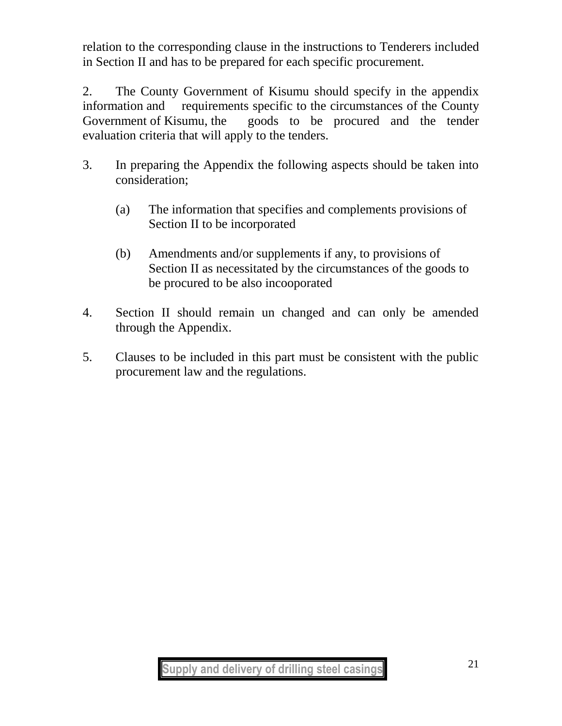relation to the corresponding clause in the instructions to Tenderers included in Section II and has to be prepared for each specific procurement.

2. The County Government of Kisumu should specify in the appendix information and requirements specific to the circumstances of the County Government of Kisumu, the goods to be procured and the tender evaluation criteria that will apply to the tenders.

- 3. In preparing the Appendix the following aspects should be taken into consideration;
	- (a) The information that specifies and complements provisions of Section II to be incorporated
	- (b) Amendments and/or supplements if any, to provisions of Section II as necessitated by the circumstances of the goods to be procured to be also incooporated
- 4. Section II should remain un changed and can only be amended through the Appendix.
- 5. Clauses to be included in this part must be consistent with the public procurement law and the regulations.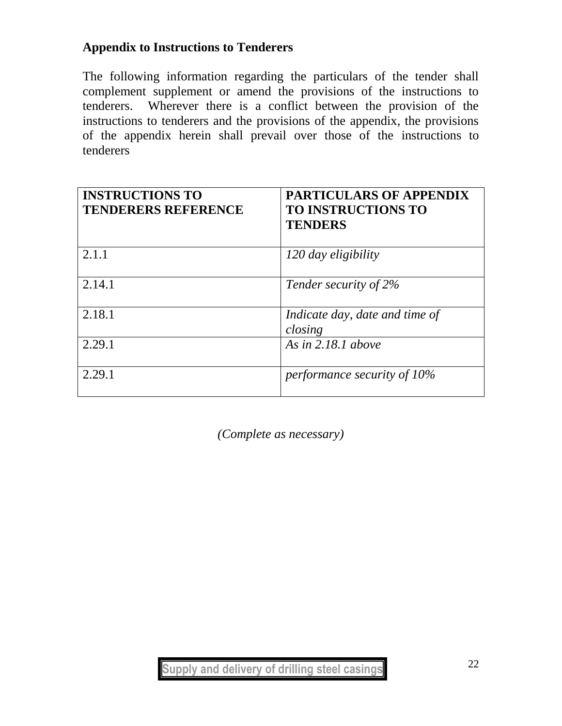## **Appendix to Instructions to Tenderers**

The following information regarding the particulars of the tender shall complement supplement or amend the provisions of the instructions to tenderers. Wherever there is a conflict between the provision of the instructions to tenderers and the provisions of the appendix, the provisions of the appendix herein shall prevail over those of the instructions to tenderers

| <b>INSTRUCTIONS TO</b><br><b>TENDERERS REFERENCE</b> | <b>PARTICULARS OF APPENDIX</b><br><b>TO INSTRUCTIONS TO</b><br><b>TENDERS</b> |
|------------------------------------------------------|-------------------------------------------------------------------------------|
| 2.1.1                                                | 120 day eligibility                                                           |
| 2.14.1                                               | Tender security of 2%                                                         |
| 2.18.1                                               | Indicate day, date and time of<br>closing                                     |
| 2.29.1                                               | As in $2.18.1$ above                                                          |
| 2.29.1                                               | performance security of $10\%$                                                |

*(Complete as necessary)*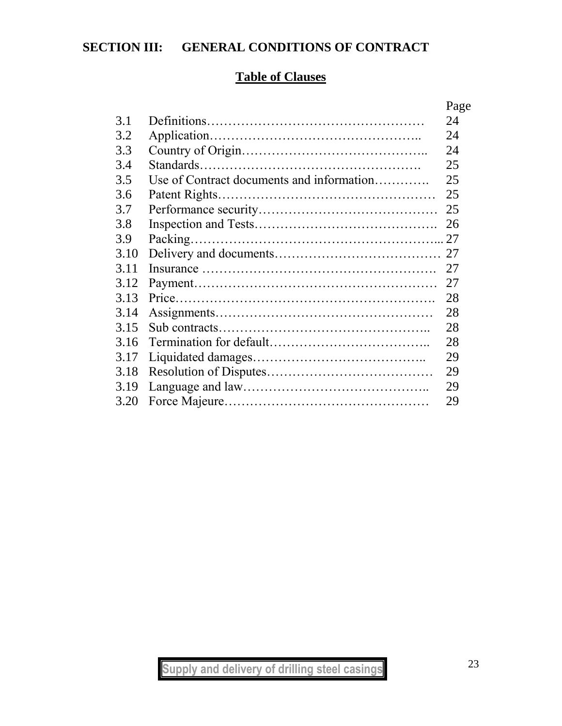## **SECTION III: GENERAL CONDITIONS OF CONTRACT**

## **Table of Clauses**

|      |                                           | Page |
|------|-------------------------------------------|------|
| 3.1  |                                           | 24   |
| 3.2  |                                           | 24   |
| 3.3  |                                           | 24   |
| 3.4  |                                           | 25   |
| 3.5  | Use of Contract documents and information | 25   |
| 3.6  |                                           | 25   |
| 3.7  |                                           | 25   |
| 3.8  |                                           | 26   |
| 3.9  |                                           |      |
| 3.10 |                                           |      |
| 3.11 |                                           | 27   |
| 3.12 |                                           | 27   |
| 3.13 |                                           | 28   |
| 3.14 |                                           | 28   |
| 3.15 |                                           | 28   |
| 3.16 |                                           | 28   |
| 3.17 |                                           | 29   |
| 3.18 |                                           | 29   |
| 3.19 |                                           | 29   |
| 3.20 |                                           | 29   |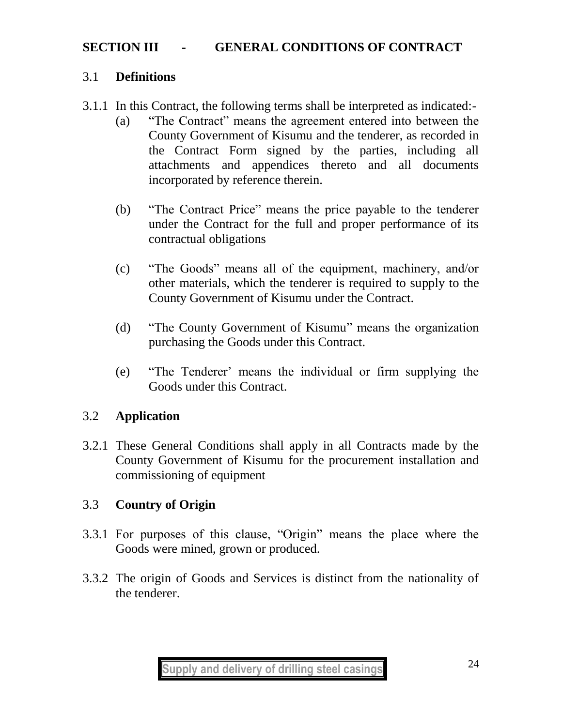## **SECTION III - GENERAL CONDITIONS OF CONTRACT**

## 3.1 **Definitions**

- 3.1.1 In this Contract, the following terms shall be interpreted as indicated:-
	- (a) "The Contract" means the agreement entered into between the County Government of Kisumu and the tenderer, as recorded in the Contract Form signed by the parties, including all attachments and appendices thereto and all documents incorporated by reference therein.
	- (b) "The Contract Price" means the price payable to the tenderer under the Contract for the full and proper performance of its contractual obligations
	- (c) "The Goods" means all of the equipment, machinery, and/or other materials, which the tenderer is required to supply to the County Government of Kisumu under the Contract.
	- (d) "The County Government of Kisumu" means the organization purchasing the Goods under this Contract.
	- (e) "The Tenderer' means the individual or firm supplying the Goods under this Contract.

## 3.2 **Application**

3.2.1 These General Conditions shall apply in all Contracts made by the County Government of Kisumu for the procurement installation and commissioning of equipment

## 3.3 **Country of Origin**

- 3.3.1 For purposes of this clause, "Origin" means the place where the Goods were mined, grown or produced.
- 3.3.2 The origin of Goods and Services is distinct from the nationality of the tenderer.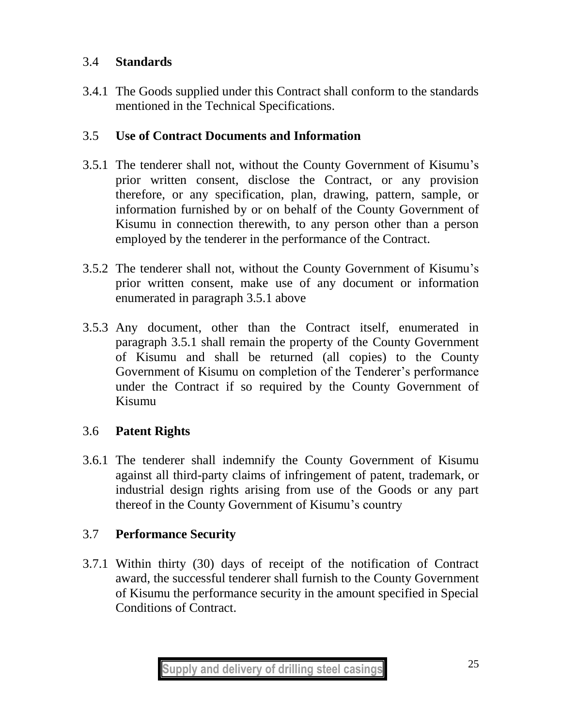## 3.4 **Standards**

3.4.1 The Goods supplied under this Contract shall conform to the standards mentioned in the Technical Specifications.

## 3.5 **Use of Contract Documents and Information**

- 3.5.1 The tenderer shall not, without the County Government of Kisumu's prior written consent, disclose the Contract, or any provision therefore, or any specification, plan, drawing, pattern, sample, or information furnished by or on behalf of the County Government of Kisumu in connection therewith, to any person other than a person employed by the tenderer in the performance of the Contract.
- 3.5.2 The tenderer shall not, without the County Government of Kisumu's prior written consent, make use of any document or information enumerated in paragraph 3.5.1 above
- 3.5.3 Any document, other than the Contract itself, enumerated in paragraph 3.5.1 shall remain the property of the County Government of Kisumu and shall be returned (all copies) to the County Government of Kisumu on completion of the Tenderer's performance under the Contract if so required by the County Government of Kisumu

## 3.6 **Patent Rights**

3.6.1 The tenderer shall indemnify the County Government of Kisumu against all third-party claims of infringement of patent, trademark, or industrial design rights arising from use of the Goods or any part thereof in the County Government of Kisumu's country

## 3.7 **Performance Security**

3.7.1 Within thirty (30) days of receipt of the notification of Contract award, the successful tenderer shall furnish to the County Government of Kisumu the performance security in the amount specified in Special Conditions of Contract.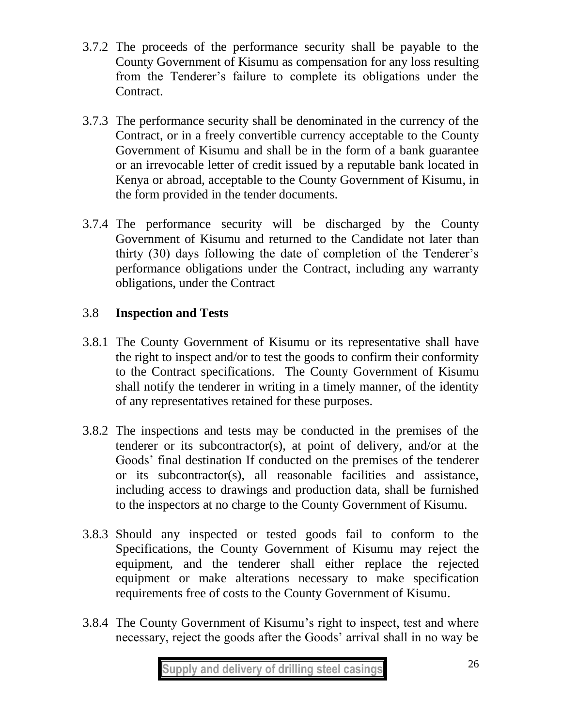- 3.7.2 The proceeds of the performance security shall be payable to the County Government of Kisumu as compensation for any loss resulting from the Tenderer's failure to complete its obligations under the Contract.
- 3.7.3 The performance security shall be denominated in the currency of the Contract, or in a freely convertible currency acceptable to the County Government of Kisumu and shall be in the form of a bank guarantee or an irrevocable letter of credit issued by a reputable bank located in Kenya or abroad, acceptable to the County Government of Kisumu, in the form provided in the tender documents.
- 3.7.4 The performance security will be discharged by the County Government of Kisumu and returned to the Candidate not later than thirty (30) days following the date of completion of the Tenderer's performance obligations under the Contract, including any warranty obligations, under the Contract

## 3.8 **Inspection and Tests**

- 3.8.1 The County Government of Kisumu or its representative shall have the right to inspect and/or to test the goods to confirm their conformity to the Contract specifications. The County Government of Kisumu shall notify the tenderer in writing in a timely manner, of the identity of any representatives retained for these purposes.
- 3.8.2 The inspections and tests may be conducted in the premises of the tenderer or its subcontractor(s), at point of delivery, and/or at the Goods' final destination If conducted on the premises of the tenderer or its subcontractor(s), all reasonable facilities and assistance, including access to drawings and production data, shall be furnished to the inspectors at no charge to the County Government of Kisumu.
- 3.8.3 Should any inspected or tested goods fail to conform to the Specifications, the County Government of Kisumu may reject the equipment, and the tenderer shall either replace the rejected equipment or make alterations necessary to make specification requirements free of costs to the County Government of Kisumu.
- 3.8.4 The County Government of Kisumu's right to inspect, test and where necessary, reject the goods after the Goods' arrival shall in no way be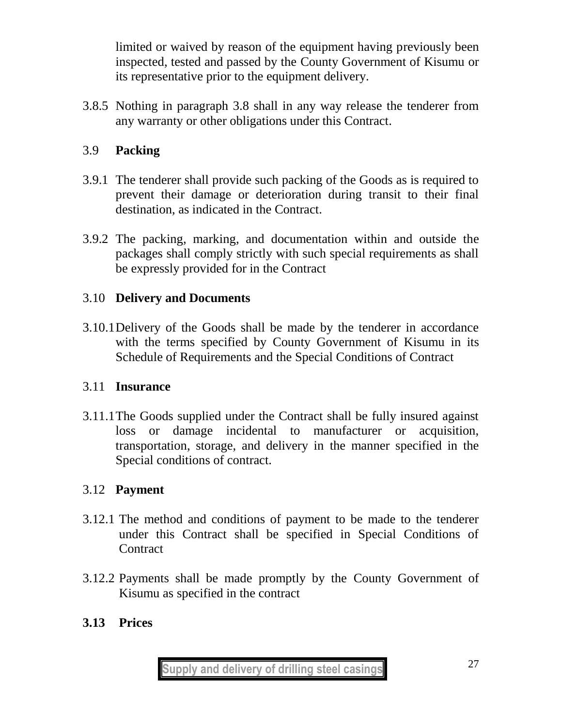limited or waived by reason of the equipment having previously been inspected, tested and passed by the County Government of Kisumu or its representative prior to the equipment delivery.

3.8.5 Nothing in paragraph 3.8 shall in any way release the tenderer from any warranty or other obligations under this Contract.

## 3.9 **Packing**

- 3.9.1 The tenderer shall provide such packing of the Goods as is required to prevent their damage or deterioration during transit to their final destination, as indicated in the Contract.
- 3.9.2 The packing, marking, and documentation within and outside the packages shall comply strictly with such special requirements as shall be expressly provided for in the Contract

## 3.10 **Delivery and Documents**

3.10.1Delivery of the Goods shall be made by the tenderer in accordance with the terms specified by County Government of Kisumu in its Schedule of Requirements and the Special Conditions of Contract

## 3.11 **Insurance**

3.11.1The Goods supplied under the Contract shall be fully insured against loss or damage incidental to manufacturer or acquisition, transportation, storage, and delivery in the manner specified in the Special conditions of contract.

## 3.12 **Payment**

- 3.12.1 The method and conditions of payment to be made to the tenderer under this Contract shall be specified in Special Conditions of **Contract**
- 3.12.2 Payments shall be made promptly by the County Government of Kisumu as specified in the contract

## **3.13 Prices**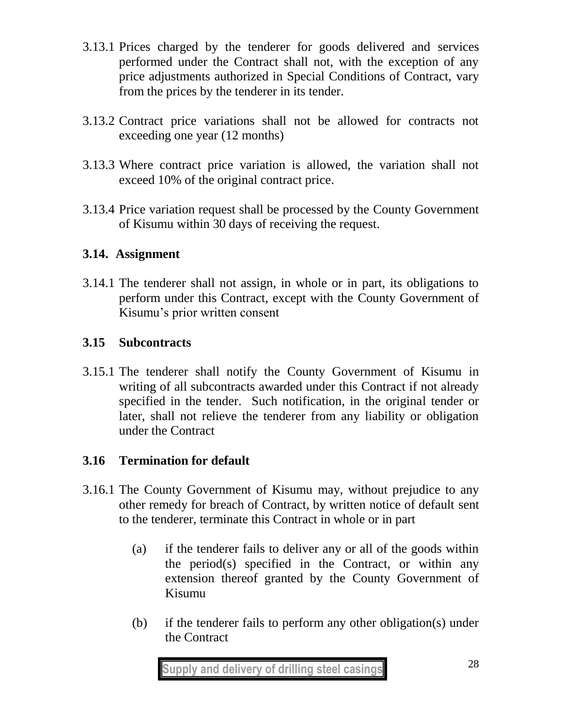- 3.13.1 Prices charged by the tenderer for goods delivered and services performed under the Contract shall not, with the exception of any price adjustments authorized in Special Conditions of Contract, vary from the prices by the tenderer in its tender.
- 3.13.2 Contract price variations shall not be allowed for contracts not exceeding one year (12 months)
- 3.13.3 Where contract price variation is allowed, the variation shall not exceed 10% of the original contract price.
- 3.13.4 Price variation request shall be processed by the County Government of Kisumu within 30 days of receiving the request.

## **3.14. Assignment**

3.14.1 The tenderer shall not assign, in whole or in part, its obligations to perform under this Contract, except with the County Government of Kisumu's prior written consent

## **3.15 Subcontracts**

3.15.1 The tenderer shall notify the County Government of Kisumu in writing of all subcontracts awarded under this Contract if not already specified in the tender. Such notification, in the original tender or later, shall not relieve the tenderer from any liability or obligation under the Contract

## **3.16 Termination for default**

- 3.16.1 The County Government of Kisumu may, without prejudice to any other remedy for breach of Contract, by written notice of default sent to the tenderer, terminate this Contract in whole or in part
	- (a) if the tenderer fails to deliver any or all of the goods within the period(s) specified in the Contract, or within any extension thereof granted by the County Government of Kisumu
	- (b) if the tenderer fails to perform any other obligation(s) under the Contract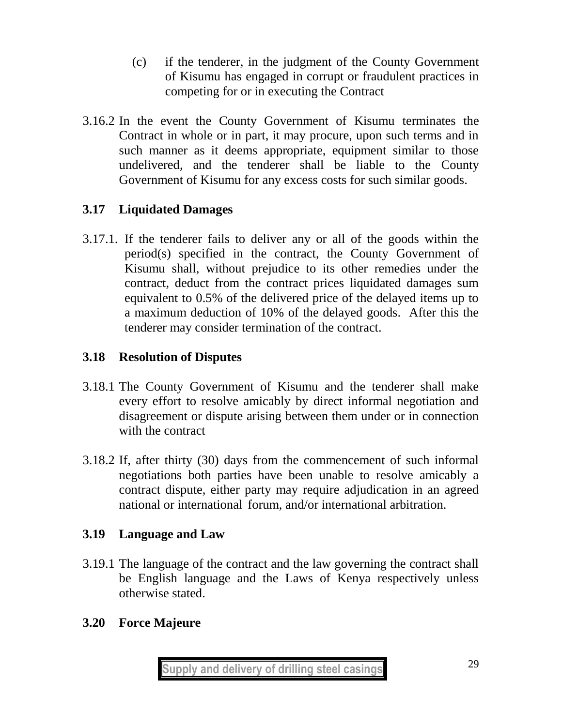- (c) if the tenderer, in the judgment of the County Government of Kisumu has engaged in corrupt or fraudulent practices in competing for or in executing the Contract
- 3.16.2 In the event the County Government of Kisumu terminates the Contract in whole or in part, it may procure, upon such terms and in such manner as it deems appropriate, equipment similar to those undelivered, and the tenderer shall be liable to the County Government of Kisumu for any excess costs for such similar goods.

## **3.17 Liquidated Damages**

3.17.1. If the tenderer fails to deliver any or all of the goods within the period(s) specified in the contract, the County Government of Kisumu shall, without prejudice to its other remedies under the contract, deduct from the contract prices liquidated damages sum equivalent to 0.5% of the delivered price of the delayed items up to a maximum deduction of 10% of the delayed goods. After this the tenderer may consider termination of the contract.

## **3.18 Resolution of Disputes**

- 3.18.1 The County Government of Kisumu and the tenderer shall make every effort to resolve amicably by direct informal negotiation and disagreement or dispute arising between them under or in connection with the contract
- 3.18.2 If, after thirty (30) days from the commencement of such informal negotiations both parties have been unable to resolve amicably a contract dispute, either party may require adjudication in an agreed national or international forum, and/or international arbitration.

## **3.19 Language and Law**

3.19.1 The language of the contract and the law governing the contract shall be English language and the Laws of Kenya respectively unless otherwise stated.

## **3.20 Force Majeure**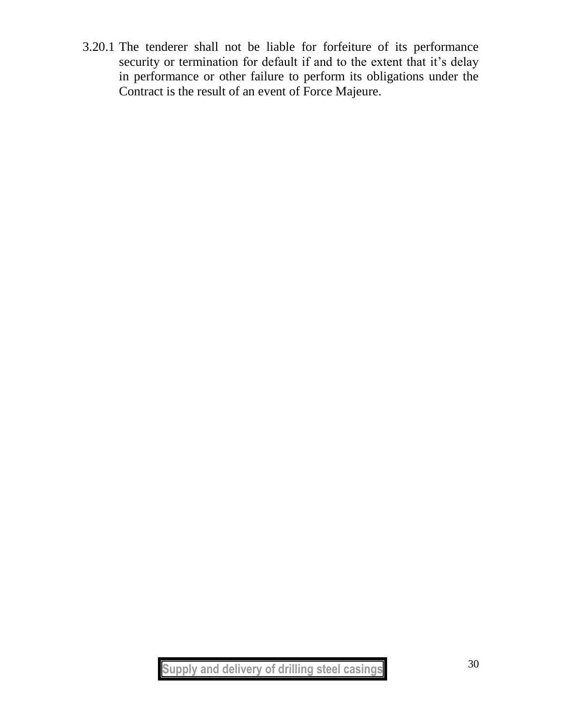3.20.1 The tenderer shall not be liable for forfeiture of its performance security or termination for default if and to the extent that it's delay in performance or other failure to perform its obligations under the Contract is the result of an event of Force Majeure.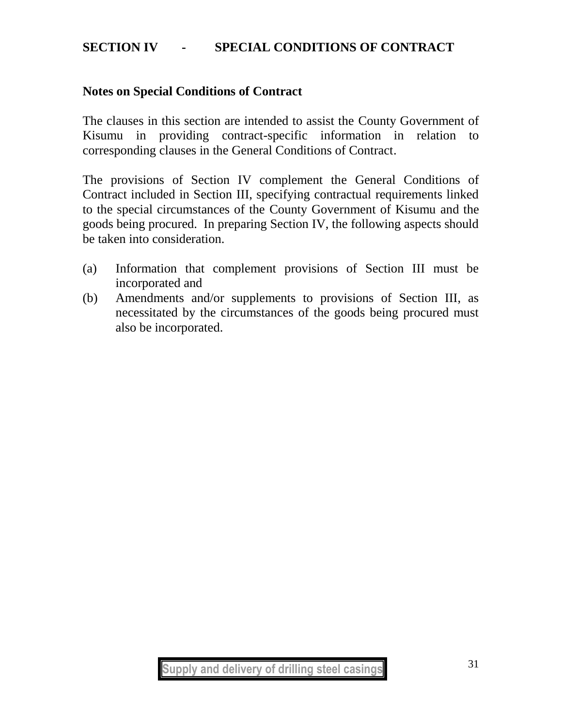#### **SECTION IV - SPECIAL CONDITIONS OF CONTRACT**

#### **Notes on Special Conditions of Contract**

The clauses in this section are intended to assist the County Government of Kisumu in providing contract-specific information in relation to corresponding clauses in the General Conditions of Contract.

The provisions of Section IV complement the General Conditions of Contract included in Section III, specifying contractual requirements linked to the special circumstances of the County Government of Kisumu and the goods being procured. In preparing Section IV, the following aspects should be taken into consideration.

- (a) Information that complement provisions of Section III must be incorporated and
- (b) Amendments and/or supplements to provisions of Section III, as necessitated by the circumstances of the goods being procured must also be incorporated.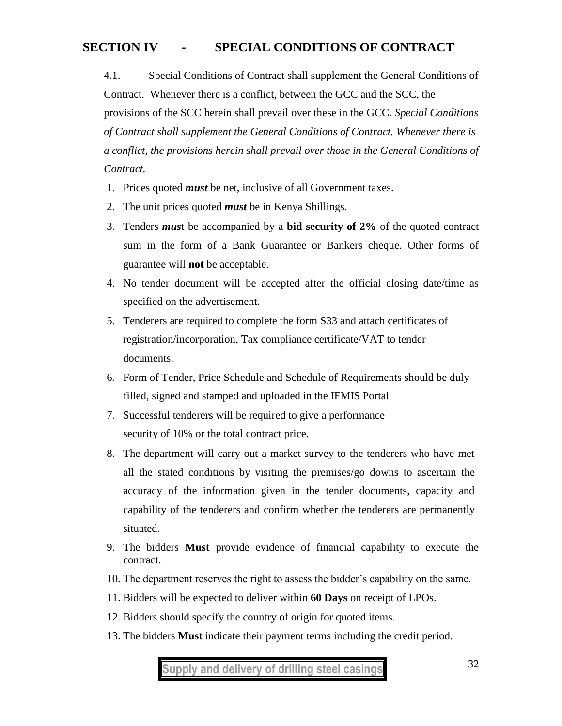## **SECTION IV - SPECIAL CONDITIONS OF CONTRACT**

4.1. Special Conditions of Contract shall supplement the General Conditions of Contract. Whenever there is a conflict, between the GCC and the SCC, the provisions of the SCC herein shall prevail over these in the GCC. *Special Conditions of Contract shall supplement the General Conditions of Contract. Whenever there is a conflict, the provisions herein shall prevail over those in the General Conditions of Contract.*

- 1. Prices quoted *must* be net, inclusive of all Government taxes.
- 2. The unit prices quoted *must* be in Kenya Shillings.
- 3. Tenders *mus*t be accompanied by a **bid security of 2%** of the quoted contract sum in the form of a Bank Guarantee or Bankers cheque. Other forms of guarantee will **not** be acceptable.
- 4. No tender document will be accepted after the official closing date/time as specified on the advertisement.
- 5. Tenderers are required to complete the form S33 and attach certificates of registration/incorporation, Tax compliance certificate/VAT to tender documents.
- 6. Form of Tender, Price Schedule and Schedule of Requirements should be duly filled, signed and stamped and uploaded in the IFMIS Portal
- 7. Successful tenderers will be required to give a performance security of 10% or the total contract price.
- 8. The department will carry out a market survey to the tenderers who have met all the stated conditions by visiting the premises/go downs to ascertain the accuracy of the information given in the tender documents, capacity and capability of the tenderers and confirm whether the tenderers are permanently situated.
- 9. The bidders **Must** provide evidence of financial capability to execute the contract.
- 10. The department reserves the right to assess the bidder's capability on the same.
- 11. Bidders will be expected to deliver within **60 Days** on receipt of LPOs.
- 12. Bidders should specify the country of origin for quoted items.
- 13. The bidders **Must** indicate their payment terms including the credit period.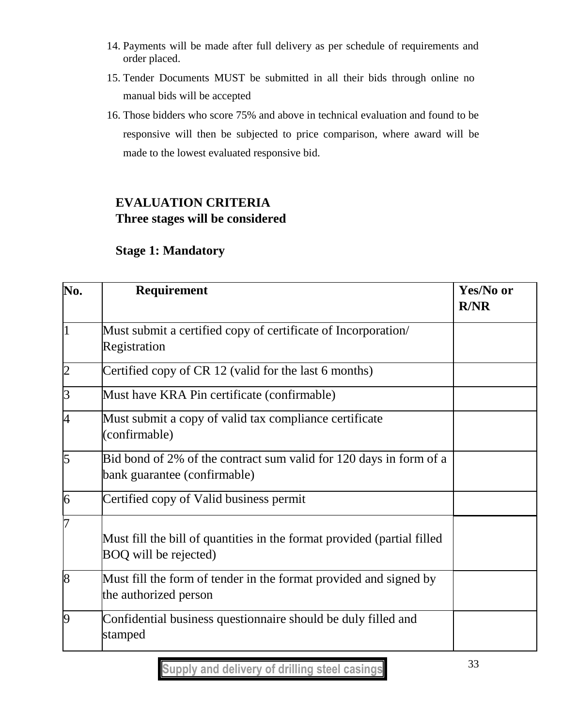- 14. Payments will be made after full delivery as per schedule of requirements and order placed.
- 15. Tender Documents MUST be submitted in all their bids through online no manual bids will be accepted
- 16. Those bidders who score 75% and above in technical evaluation and found to be responsive will then be subjected to price comparison, where award will be made to the lowest evaluated responsive bid.

## **EVALUATION CRITERIA Three stages will be considered**

#### **Stage 1: Mandatory**

| No.            | Requirement                                                                                        | Yes/No or<br><b>R/NR</b> |
|----------------|----------------------------------------------------------------------------------------------------|--------------------------|
| $\vert$ 1      | Must submit a certified copy of certificate of Incorporation/<br>Registration                      |                          |
| $\overline{2}$ | Certified copy of CR 12 (valid for the last 6 months)                                              |                          |
| $\overline{3}$ | Must have KRA Pin certificate (confirmable)                                                        |                          |
| I4             | Must submit a copy of valid tax compliance certificate<br>(confirmable)                            |                          |
| 5              | Bid bond of 2% of the contract sum valid for 120 days in form of a<br>bank guarantee (confirmable) |                          |
| $\overline{6}$ | Certified copy of Valid business permit                                                            |                          |
| 7              | Must fill the bill of quantities in the format provided (partial filled<br>BOQ will be rejected)   |                          |
| $\overline{8}$ | Must fill the form of tender in the format provided and signed by<br>the authorized person         |                          |
| 9              | Confidential business questionnaire should be duly filled and<br>stamped                           |                          |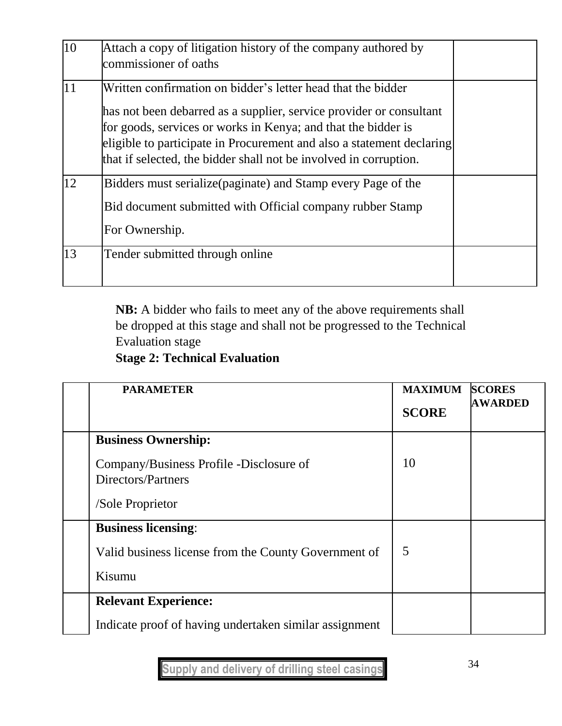| 10 | Attach a copy of litigation history of the company authored by<br>commissioner of oaths                                                                                                                                                                                                                                                            |  |
|----|----------------------------------------------------------------------------------------------------------------------------------------------------------------------------------------------------------------------------------------------------------------------------------------------------------------------------------------------------|--|
| 11 | Written confirmation on bidder's letter head that the bidder<br>has not been debarred as a supplier, service provider or consultant<br>for goods, services or works in Kenya; and that the bidder is<br>eligible to participate in Procurement and also a statement declaring<br>that if selected, the bidder shall not be involved in corruption. |  |
| 12 | Bidders must serialize (paginate) and Stamp every Page of the<br>Bid document submitted with Official company rubber Stamp<br>For Ownership.                                                                                                                                                                                                       |  |
| 13 | Tender submitted through online                                                                                                                                                                                                                                                                                                                    |  |

**NB:** A bidder who fails to meet any of the above requirements shall be dropped at this stage and shall not be progressed to the Technical Evaluation stage

**Stage 2: Technical Evaluation**

| <b>PARAMETER</b>                                                                             | <b>MAXIMUM</b><br><b>SCORE</b> | <b>SCORES</b><br><b>AWARDED</b> |
|----------------------------------------------------------------------------------------------|--------------------------------|---------------------------------|
| <b>Business Ownership:</b>                                                                   |                                |                                 |
| Company/Business Profile -Disclosure of<br>Directors/Partners<br>/Sole Proprietor            | 10                             |                                 |
| <b>Business licensing:</b><br>Valid business license from the County Government of<br>Kisumu | 5                              |                                 |
| <b>Relevant Experience:</b><br>Indicate proof of having undertaken similar assignment        |                                |                                 |

**Supply and delivery of drilling steel casings** <sup>34</sup>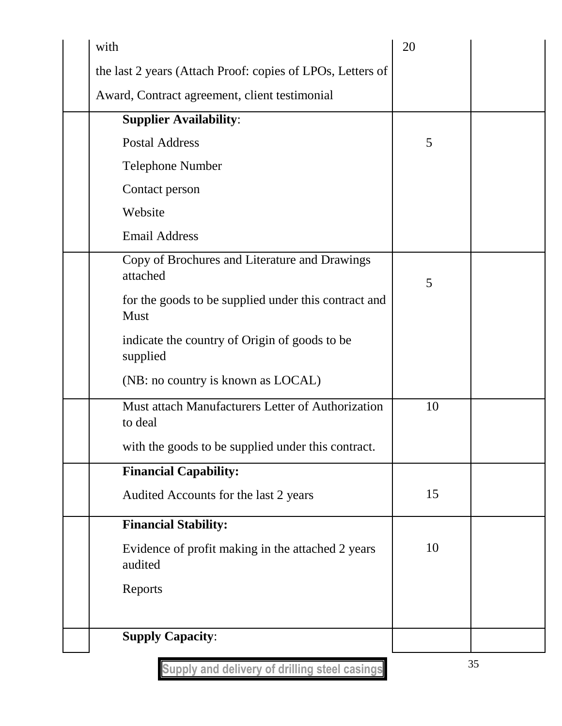| with                                                         | 20 |    |
|--------------------------------------------------------------|----|----|
| the last 2 years (Attach Proof: copies of LPOs, Letters of   |    |    |
| Award, Contract agreement, client testimonial                |    |    |
| <b>Supplier Availability:</b>                                |    |    |
| <b>Postal Address</b>                                        | 5  |    |
| <b>Telephone Number</b>                                      |    |    |
| Contact person                                               |    |    |
| Website                                                      |    |    |
| <b>Email Address</b>                                         |    |    |
| Copy of Brochures and Literature and Drawings<br>attached    | 5  |    |
| for the goods to be supplied under this contract and<br>Must |    |    |
| indicate the country of Origin of goods to be<br>supplied    |    |    |
| (NB: no country is known as LOCAL)                           |    |    |
| Must attach Manufacturers Letter of Authorization<br>to deal | 10 |    |
| with the goods to be supplied under this contract.           |    |    |
| <b>Financial Capability:</b>                                 |    |    |
| Audited Accounts for the last 2 years                        | 15 |    |
| <b>Financial Stability:</b>                                  |    |    |
| Evidence of profit making in the attached 2 years<br>audited | 10 |    |
| Reports                                                      |    |    |
|                                                              |    |    |
| <b>Supply Capacity:</b>                                      |    |    |
| Supply and delivery of drilling steel casings                |    | 35 |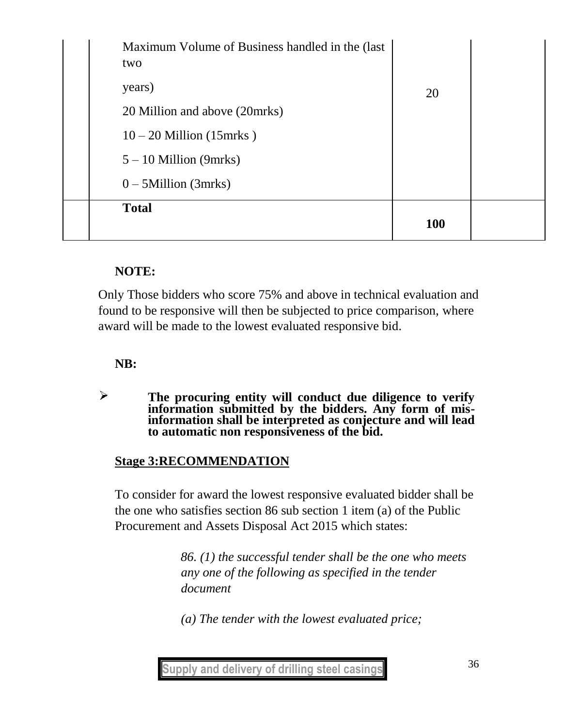| Maximum Volume of Business handled in the (last)<br>two<br>years)<br>20 Million and above (20mrks)<br>$10-20$ Million (15mrks)<br>$5 - 10$ Million (9mrks)<br>$0 - 5$ Million (3mrks) | 20         |  |
|---------------------------------------------------------------------------------------------------------------------------------------------------------------------------------------|------------|--|
| <b>Total</b>                                                                                                                                                                          | <b>100</b> |  |

## **NOTE:**

Only Those bidders who score 75% and above in technical evaluation and found to be responsive will then be subjected to price comparison, where award will be made to the lowest evaluated responsive bid.

**NB:**

 $\blacktriangleright$ **The procuring entity will conduct due diligence to verify**  information submitted by the bidders. Any form of mis**information shall be interpreted as conjecture and will lead to automatic non responsiveness of the bid.**

## **Stage 3:RECOMMENDATION**

To consider for award the lowest responsive evaluated bidder shall be the one who satisfies section 86 sub section 1 item (a) of the Public Procurement and Assets Disposal Act 2015 which states:

> *86. (1) the successful tender shall be the one who meets any one of the following as specified in the tender document*

*(a) The tender with the lowest evaluated price;*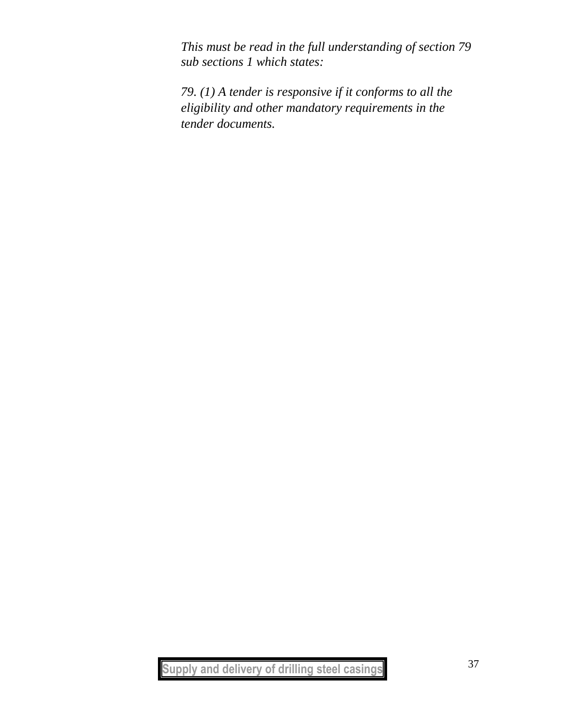*This must be read in the full understanding of section 79 sub sections 1 which states:*

*79. (1) A tender is responsive if it conforms to all the eligibility and other mandatory requirements in the tender documents.*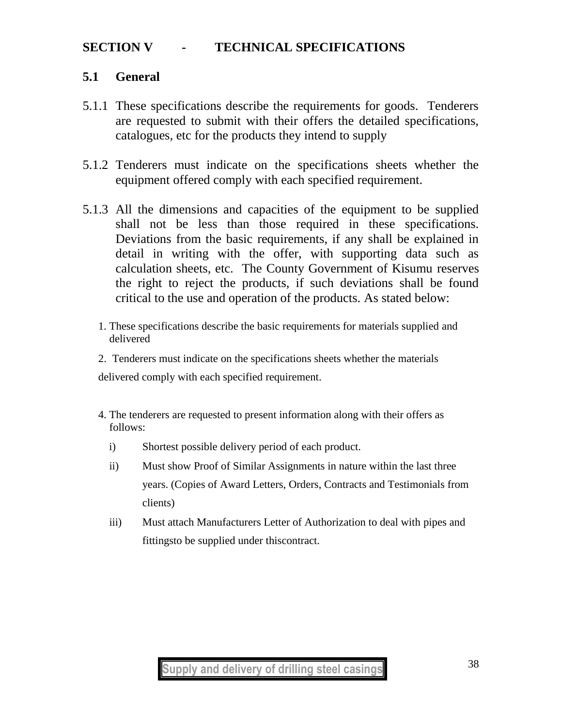## **SECTION V - TECHNICAL SPECIFICATIONS**

#### **5.1 General**

- 5.1.1 These specifications describe the requirements for goods. Tenderers are requested to submit with their offers the detailed specifications, catalogues, etc for the products they intend to supply
- 5.1.2 Tenderers must indicate on the specifications sheets whether the equipment offered comply with each specified requirement.
- 5.1.3 All the dimensions and capacities of the equipment to be supplied shall not be less than those required in these specifications. Deviations from the basic requirements, if any shall be explained in detail in writing with the offer, with supporting data such as calculation sheets, etc. The County Government of Kisumu reserves the right to reject the products, if such deviations shall be found critical to the use and operation of the products. As stated below:
	- 1. These specifications describe the basic requirements for materials supplied and delivered
	- 2. Tenderers must indicate on the specifications sheets whether the materials

delivered comply with each specified requirement.

- 4. The tenderers are requested to present information along with their offers as follows:
	- i) Shortest possible delivery period of each product.
	- ii) Must show Proof of Similar Assignments in nature within the last three years. (Copies of Award Letters, Orders, Contracts and Testimonials from clients)
	- iii) Must attach Manufacturers Letter of Authorization to deal with pipes and fittingsto be supplied under thiscontract.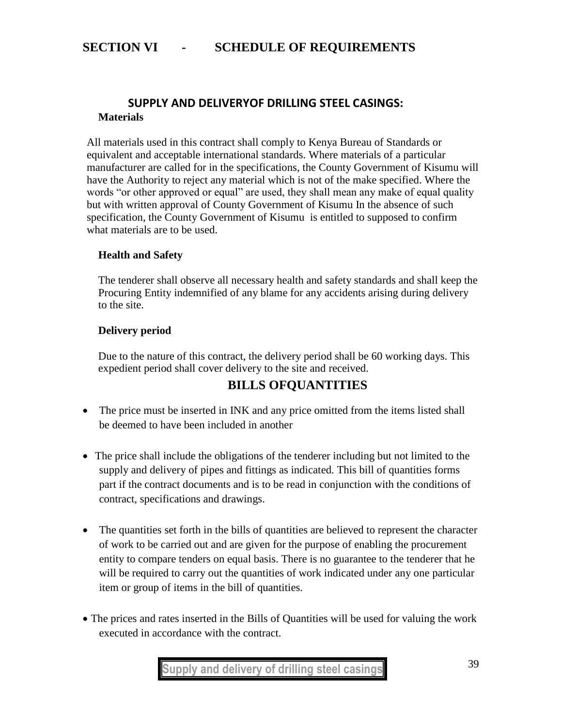#### **SECTION VI - SCHEDULE OF REQUIREMENTS**

#### **SUPPLY AND DELIVERYOF DRILLING STEEL CASINGS: Materials**

All materials used in this contract shall comply to Kenya Bureau of Standards or equivalent and acceptable international standards. Where materials of a particular manufacturer are called for in the specifications, the County Government of Kisumu will have the Authority to reject any material which is not of the make specified. Where the words "or other approved or equal" are used, they shall mean any make of equal quality but with written approval of County Government of Kisumu In the absence of such specification, the County Government of Kisumu is entitled to supposed to confirm what materials are to be used.

#### **Health and Safety**

The tenderer shall observe all necessary health and safety standards and shall keep the Procuring Entity indemnified of any blame for any accidents arising during delivery to the site.

#### **Delivery period**

Due to the nature of this contract, the delivery period shall be 60 working days. This expedient period shall cover delivery to the site and received.

#### **BILLS OFQUANTITIES**

- The price must be inserted in INK and any price omitted from the items listed shall be deemed to have been included in another
- The price shall include the obligations of the tenderer including but not limited to the supply and delivery of pipes and fittings as indicated. This bill of quantities forms part if the contract documents and is to be read in conjunction with the conditions of contract, specifications and drawings.
- The quantities set forth in the bills of quantities are believed to represent the character of work to be carried out and are given for the purpose of enabling the procurement entity to compare tenders on equal basis. There is no guarantee to the tenderer that he will be required to carry out the quantities of work indicated under any one particular item or group of items in the bill of quantities.
- The prices and rates inserted in the Bills of Quantities will be used for valuing the work executed in accordance with the contract.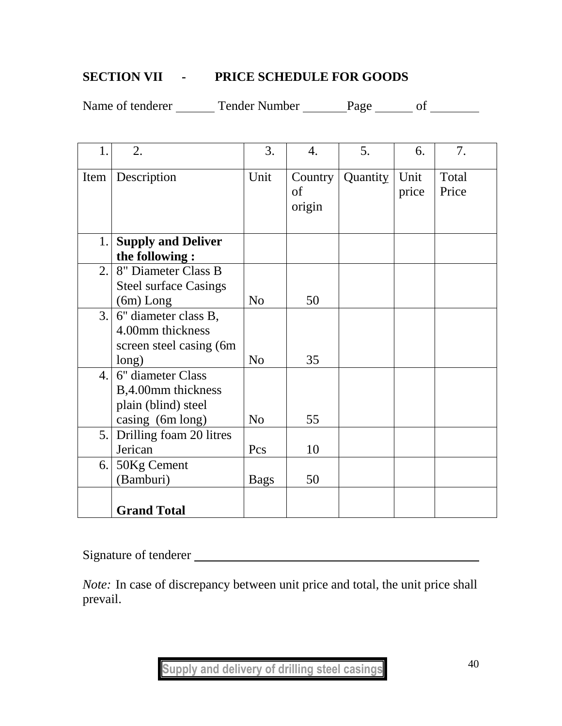## **SECTION VII - PRICE SCHEDULE FOR GOODS**

Name of tenderer \_\_\_\_\_\_\_\_ Tender Number \_\_\_\_\_\_\_\_ Page \_\_\_\_\_\_\_ of \_\_\_\_\_\_\_\_

| 1.   | 2.                           | 3.             | 4.      | 5.       | 6.    | 7.    |
|------|------------------------------|----------------|---------|----------|-------|-------|
| Item | Description                  | Unit           | Country | Quantity | Unit  | Total |
|      |                              |                | of      |          | price | Price |
|      |                              |                | origin  |          |       |       |
|      |                              |                |         |          |       |       |
| 1.   | <b>Supply and Deliver</b>    |                |         |          |       |       |
|      | the following :              |                |         |          |       |       |
| 2.   | 8" Diameter Class B          |                |         |          |       |       |
|      | <b>Steel surface Casings</b> |                |         |          |       |       |
|      | $(6m)$ Long                  | N <sub>o</sub> | 50      |          |       |       |
| 3.   | 6" diameter class B,         |                |         |          |       |       |
|      | 4.00mm thickness             |                |         |          |       |       |
|      | screen steel casing (6m)     |                |         |          |       |       |
|      | long)                        | N <sub>0</sub> | 35      |          |       |       |
| 4.   | 6" diameter Class            |                |         |          |       |       |
|      | B,4.00mm thickness           |                |         |          |       |       |
|      | plain (blind) steel          |                |         |          |       |       |
|      | casing (6m long)             | N <sub>0</sub> | 55      |          |       |       |
| 5.   | Drilling foam 20 litres      |                |         |          |       |       |
|      | Jerican                      | Pcs            | 10      |          |       |       |
| 6.   | 50Kg Cement                  |                |         |          |       |       |
|      | (Bamburi)                    | <b>Bags</b>    | 50      |          |       |       |
|      |                              |                |         |          |       |       |
|      | <b>Grand Total</b>           |                |         |          |       |       |

# Signature of tenderer

*Note:* In case of discrepancy between unit price and total, the unit price shall prevail.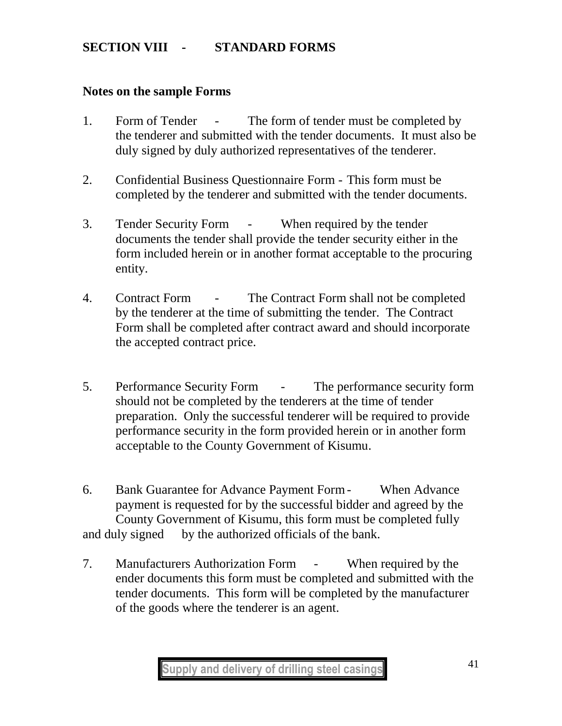## **SECTION VIII - STANDARD FORMS**

#### **Notes on the sample Forms**

- 1. Form of Tender The form of tender must be completed by the tenderer and submitted with the tender documents. It must also be duly signed by duly authorized representatives of the tenderer.
- 2. Confidential Business Questionnaire Form This form must be completed by the tenderer and submitted with the tender documents.
- 3. Tender Security Form When required by the tender documents the tender shall provide the tender security either in the form included herein or in another format acceptable to the procuring entity.
- 4. Contract Form The Contract Form shall not be completed by the tenderer at the time of submitting the tender. The Contract Form shall be completed after contract award and should incorporate the accepted contract price.
- 5. Performance Security Form The performance security form should not be completed by the tenderers at the time of tender preparation. Only the successful tenderer will be required to provide performance security in the form provided herein or in another form acceptable to the County Government of Kisumu.
- 6. Bank Guarantee for Advance Payment Form- When Advance payment is requested for by the successful bidder and agreed by the County Government of Kisumu, this form must be completed fully and duly signed by the authorized officials of the bank.
- 7. Manufacturers Authorization Form When required by the ender documents this form must be completed and submitted with the tender documents. This form will be completed by the manufacturer of the goods where the tenderer is an agent.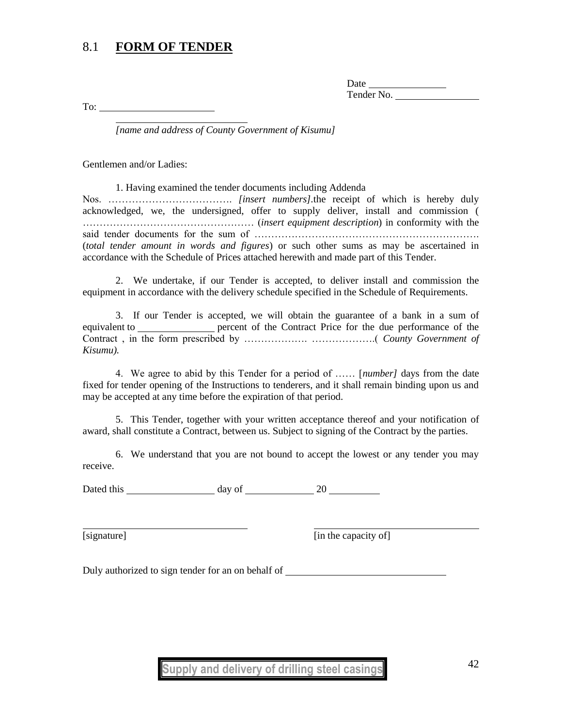#### 8.1 **FORM OF TENDER**

Date Tender No.

To:

*[name and address of County Government of Kisumu]*

Gentlemen and/or Ladies:

1. Having examined the tender documents including Addenda Nos. ………………………………. *[insert numbers].*the receipt of which is hereby duly acknowledged, we, the undersigned, offer to supply deliver, install and commission ( …………………………………………… (*insert equipment description*) in conformity with the said tender documents for the sum of …………………………………………………………. (*total tender amount in words and figures*) or such other sums as may be ascertained in accordance with the Schedule of Prices attached herewith and made part of this Tender.

2. We undertake, if our Tender is accepted, to deliver install and commission the equipment in accordance with the delivery schedule specified in the Schedule of Requirements.

3. If our Tender is accepted, we will obtain the guarantee of a bank in a sum of equivalent to percent of the Contract Price for the due performance of the Contract , in the form prescribed by ………………. ……………….( *County Government of Kisumu).*

4. We agree to abid by this Tender for a period of …… [*number]* days from the date fixed for tender opening of the Instructions to tenderers, and it shall remain binding upon us and may be accepted at any time before the expiration of that period.

5. This Tender, together with your written acceptance thereof and your notification of award, shall constitute a Contract, between us. Subject to signing of the Contract by the parties.

6. We understand that you are not bound to accept the lowest or any tender you may receive.

Dated this day of 20

[signature] [in the capacity of]

Duly authorized to sign tender for an on behalf of \_\_\_\_\_\_\_\_\_\_\_\_\_\_\_\_\_\_\_\_\_\_\_\_\_\_\_\_\_\_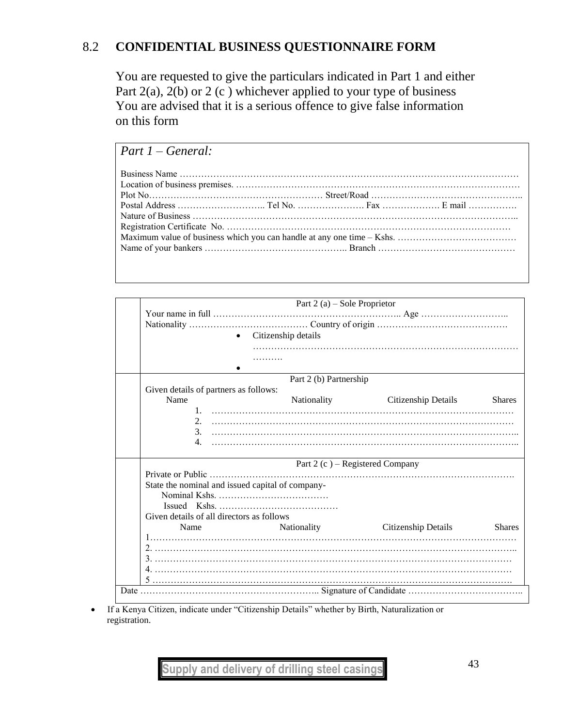## 8.2 **CONFIDENTIAL BUSINESS QUESTIONNAIRE FORM**

You are requested to give the particulars indicated in Part 1 and either Part  $2(a)$ ,  $2(b)$  or  $2(c)$  whichever applied to your type of business You are advised that it is a serious offence to give false information on this form

| $Part 1 - General:$ |  |  |
|---------------------|--|--|
|                     |  |  |
|                     |  |  |
|                     |  |  |
|                     |  |  |
|                     |  |  |
|                     |  |  |
|                     |  |  |
|                     |  |  |

|                                           | Part 2 (a) – Sole Proprietor                     |                                 |               |
|-------------------------------------------|--------------------------------------------------|---------------------------------|---------------|
|                                           |                                                  |                                 |               |
|                                           | Citizenship details<br>$\bullet$                 |                                 |               |
|                                           |                                                  |                                 |               |
|                                           |                                                  |                                 |               |
|                                           | Part 2 (b) Partnership                           |                                 |               |
| Given details of partners as follows:     |                                                  |                                 |               |
| Name                                      |                                                  | Nationality Citizenship Details | <b>Shares</b> |
| $1_{-}$                                   |                                                  |                                 |               |
|                                           |                                                  |                                 |               |
|                                           |                                                  |                                 |               |
| 4                                         |                                                  |                                 |               |
|                                           |                                                  |                                 |               |
|                                           |                                                  | Part 2 (c) – Registered Company |               |
|                                           |                                                  |                                 |               |
|                                           | State the nominal and issued capital of company- |                                 |               |
|                                           |                                                  |                                 |               |
|                                           |                                                  |                                 |               |
| Given details of all directors as follows |                                                  |                                 |               |
| Name                                      | Nationality                                      | Citizenship Details             | <b>Shares</b> |
|                                           |                                                  |                                 |               |
|                                           |                                                  |                                 |               |
|                                           |                                                  |                                 |               |
|                                           |                                                  |                                 |               |
|                                           |                                                  |                                 |               |
|                                           |                                                  |                                 |               |

 If a Kenya Citizen, indicate under "Citizenship Details" whether by Birth, Naturalization or registration.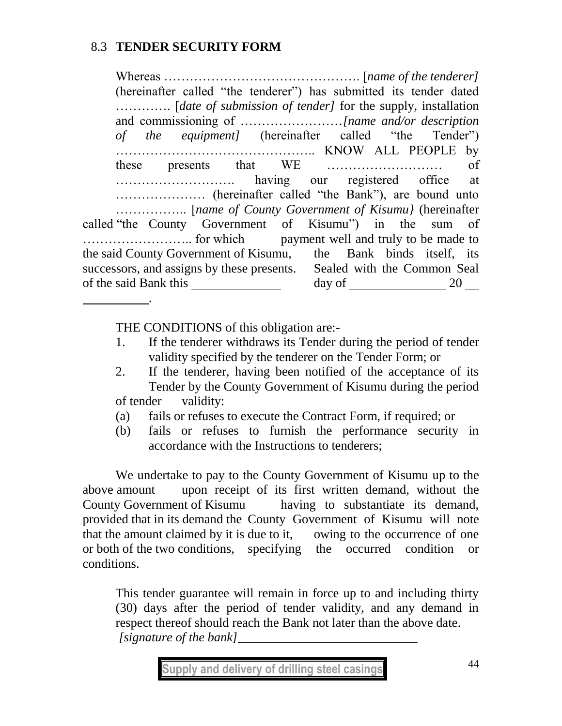## 8.3 **TENDER SECURITY FORM**

Whereas ………………………………………. [*name of the tenderer]* (hereinafter called "the tenderer") has submitted its tender dated …………. [*date of submission of tender]* for the supply, installation and commissioning of ……………………*[name and/or description of the equipment]* (hereinafter called "the Tender") ……………………………………….. KNOW ALL PEOPLE by these presents that WE ……………………… of ………………………. having our registered office at ………………… (hereinafter called "the Bank"), are bound unto …………….. [*name of County Government of Kisumu}* (hereinafter called "the County Government of Kisumu") in the sum of …………………….. for which payment well and truly to be made to the said County Government of Kisumu, the Bank binds itself, its successors, and assigns by these presents. Sealed with the Common Seal of the said Bank this  $\frac{1}{20}$  day of  $\frac{1}{20}$ .

THE CONDITIONS of this obligation are:-

- 1. If the tenderer withdraws its Tender during the period of tender validity specified by the tenderer on the Tender Form; or
- 2. If the tenderer, having been notified of the acceptance of its Tender by the County Government of Kisumu during the period of tender validity:
- (a) fails or refuses to execute the Contract Form, if required; or
- (b) fails or refuses to furnish the performance security in accordance with the Instructions to tenderers;

We undertake to pay to the County Government of Kisumu up to the above amount upon receipt of its first written demand, without the County Government of Kisumu having to substantiate its demand, provided that in its demand the County Government of Kisumu will note that the amount claimed by it is due to it, owing to the occurrence of one or both of the two conditions, specifying the occurred condition or conditions.

This tender guarantee will remain in force up to and including thirty (30) days after the period of tender validity, and any demand in respect thereof should reach the Bank not later than the above date. *[signature of the bank]*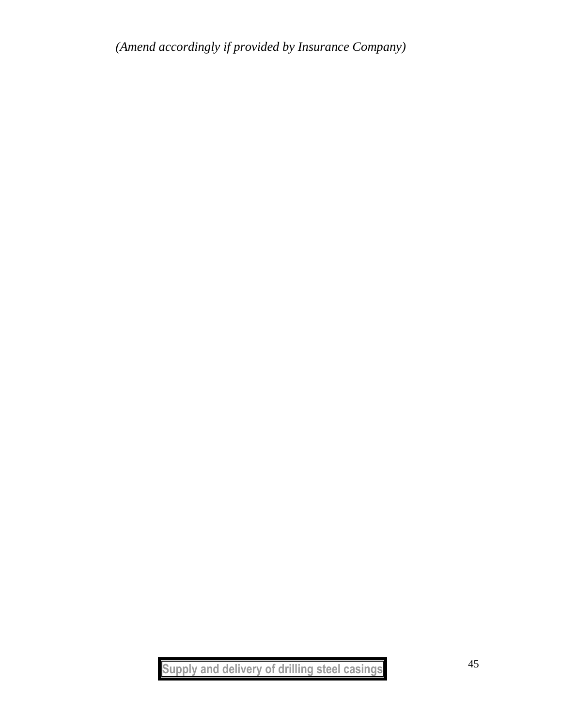*(Amend accordingly if provided by Insurance Company)*

**Supply and delivery of drilling steel casings** <sup>45</sup>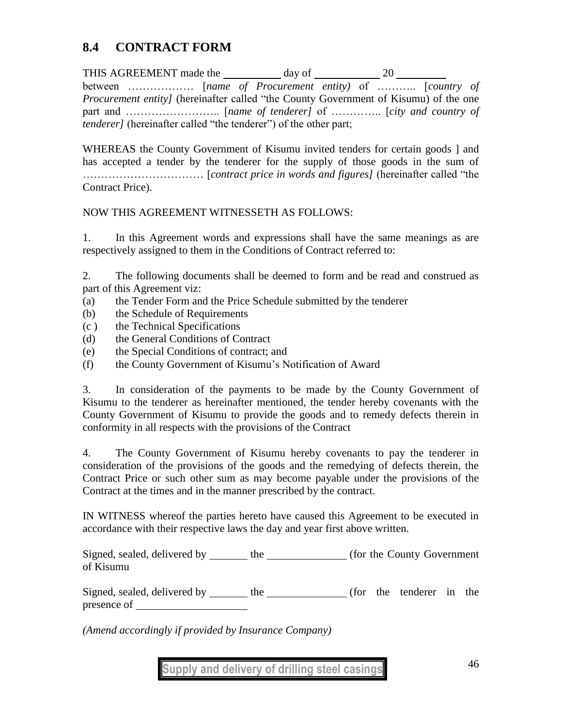## **8.4 CONTRACT FORM**

THIS AGREEMENT made the \_\_\_\_\_\_\_\_\_\_ day of \_\_\_\_\_\_\_\_\_\_\_ 20 \_\_\_\_\_\_\_\_\_\_ between ……………… [*name of Procurement entity)* of ……….. [*country of Procurement entity]* (hereinafter called "the County Government of Kisumu) of the one part and …………………….. [*name of tenderer]* of ………….. [*city and country of tenderer]* (hereinafter called "the tenderer") of the other part;

WHEREAS the County Government of Kisumu invited tenders for certain goods 1 and has accepted a tender by the tenderer for the supply of those goods in the sum of …………………………… [*contract price in words and figures]* (hereinafter called "the Contract Price).

#### NOW THIS AGREEMENT WITNESSETH AS FOLLOWS:

1. In this Agreement words and expressions shall have the same meanings as are respectively assigned to them in the Conditions of Contract referred to:

2. The following documents shall be deemed to form and be read and construed as part of this Agreement viz:

- (a) the Tender Form and the Price Schedule submitted by the tenderer
- (b) the Schedule of Requirements
- (c ) the Technical Specifications
- (d) the General Conditions of Contract
- (e) the Special Conditions of contract; and
- (f) the County Government of Kisumu's Notification of Award

3. In consideration of the payments to be made by the County Government of Kisumu to the tenderer as hereinafter mentioned, the tender hereby covenants with the County Government of Kisumu to provide the goods and to remedy defects therein in conformity in all respects with the provisions of the Contract

4. The County Government of Kisumu hereby covenants to pay the tenderer in consideration of the provisions of the goods and the remedying of defects therein, the Contract Price or such other sum as may become payable under the provisions of the Contract at the times and in the manner prescribed by the contract.

IN WITNESS whereof the parties hereto have caused this Agreement to be executed in accordance with their respective laws the day and year first above written.

Signed, sealed, delivered by \_\_\_\_\_\_ the \_\_\_\_\_\_\_\_\_\_\_\_ (for the County Government of Kisumu

Signed, sealed, delivered by \_\_\_\_\_\_ the \_\_\_\_\_\_\_\_\_\_\_\_(for the tenderer in the presence of

*(Amend accordingly if provided by Insurance Company)*

**Supply and delivery of drilling steel casings** <sup>46</sup>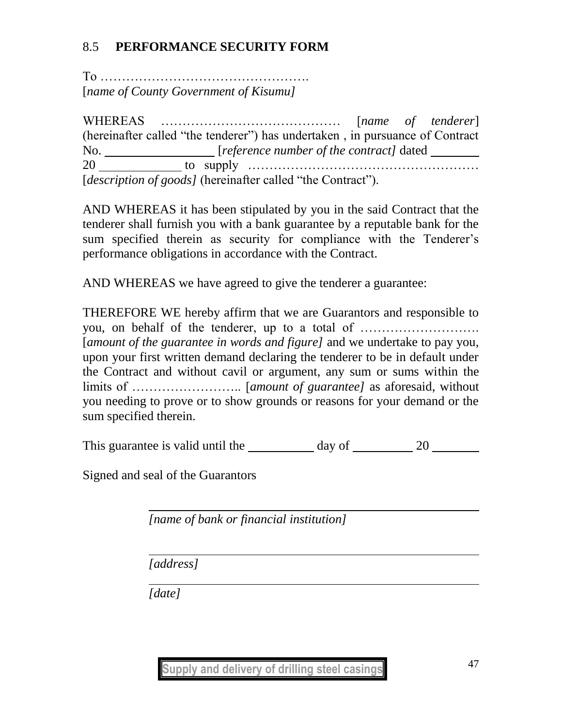## 8.5 **PERFORMANCE SECURITY FORM**

To …………………………………………. [*name of County Government of Kisumu]*

WHEREAS …………………………………… [*name of tenderer*] (hereinafter called "the tenderer") has undertaken , in pursuance of Contract No. [*reference number of the contract]* dated 20 to supply ……………………………………………… [*description of goods]* (hereinafter called "the Contract").

AND WHEREAS it has been stipulated by you in the said Contract that the tenderer shall furnish you with a bank guarantee by a reputable bank for the sum specified therein as security for compliance with the Tenderer's performance obligations in accordance with the Contract.

AND WHEREAS we have agreed to give the tenderer a guarantee:

THEREFORE WE hereby affirm that we are Guarantors and responsible to you, on behalf of the tenderer, up to a total of ………………………. [*amount of the guarantee in words and figure]* and we undertake to pay you, upon your first written demand declaring the tenderer to be in default under the Contract and without cavil or argument, any sum or sums within the limits of …………………….. [*amount of guarantee]* as aforesaid, without you needing to prove or to show grounds or reasons for your demand or the sum specified therein.

This guarantee is valid until the  $\frac{1}{20}$  day of  $\frac{20}{20}$ 

Signed and seal of the Guarantors

*[name of bank or financial institution]*

*[address]*

*[date]*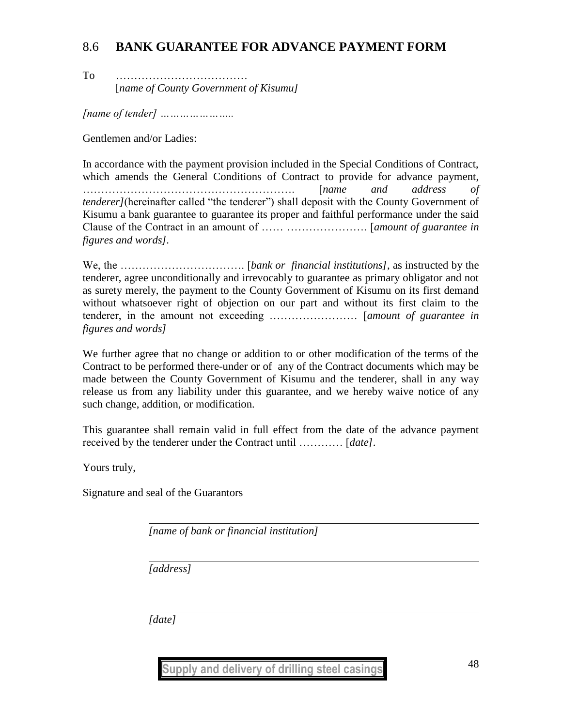### 8.6 **BANK GUARANTEE FOR ADVANCE PAYMENT FORM**

To ……………………………… [*name of County Government of Kisumu]*

*[name of tender] …………………..*

Gentlemen and/or Ladies:

In accordance with the payment provision included in the Special Conditions of Contract, which amends the General Conditions of Contract to provide for advance payment, …………………………………………………. [*name and address of tenderer]*(hereinafter called "the tenderer") shall deposit with the County Government of Kisumu a bank guarantee to guarantee its proper and faithful performance under the said Clause of the Contract in an amount of …… …………………. [*amount of guarantee in figures and words].*

We, the ……………………………. [*bank or financial institutions]*, as instructed by the tenderer, agree unconditionally and irrevocably to guarantee as primary obligator and not as surety merely, the payment to the County Government of Kisumu on its first demand without whatsoever right of objection on our part and without its first claim to the tenderer, in the amount not exceeding …………………… [*amount of guarantee in figures and words]*

We further agree that no change or addition to or other modification of the terms of the Contract to be performed there-under or of any of the Contract documents which may be made between the County Government of Kisumu and the tenderer, shall in any way release us from any liability under this guarantee, and we hereby waive notice of any such change, addition, or modification.

This guarantee shall remain valid in full effect from the date of the advance payment received by the tenderer under the Contract until ………… [*date]*.

Yours truly,

Signature and seal of the Guarantors

*[name of bank or financial institution]*

*[address]*

*[date]*

**Supply and delivery of drilling steel casings** <sup>48</sup>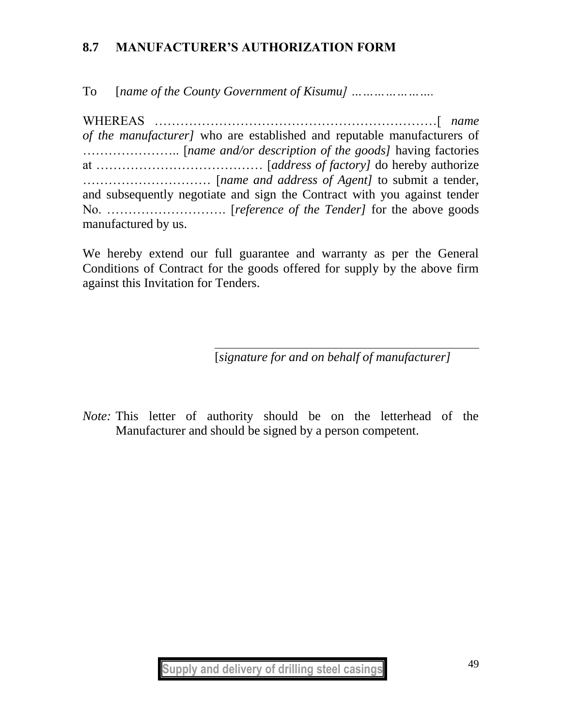## **8.7 MANUFACTURER'S AUTHORIZATION FORM**

To [*name of the County Government of Kisumu] ………………….*

WHEREAS …………………………………………………………[ *name of the manufacturer]* who are established and reputable manufacturers of ………………….. [*name and/or description of the goods]* having factories at ………………………………… [*address of factory]* do hereby authorize ………………………… [*name and address of Agent]* to submit a tender, and subsequently negotiate and sign the Contract with you against tender No. ………………………. [*reference of the Tender]* for the above goods manufactured by us.

We hereby extend our full guarantee and warranty as per the General Conditions of Contract for the goods offered for supply by the above firm against this Invitation for Tenders.

[*signature for and on behalf of manufacturer]*

*Note:* This letter of authority should be on the letterhead of the Manufacturer and should be signed by a person competent.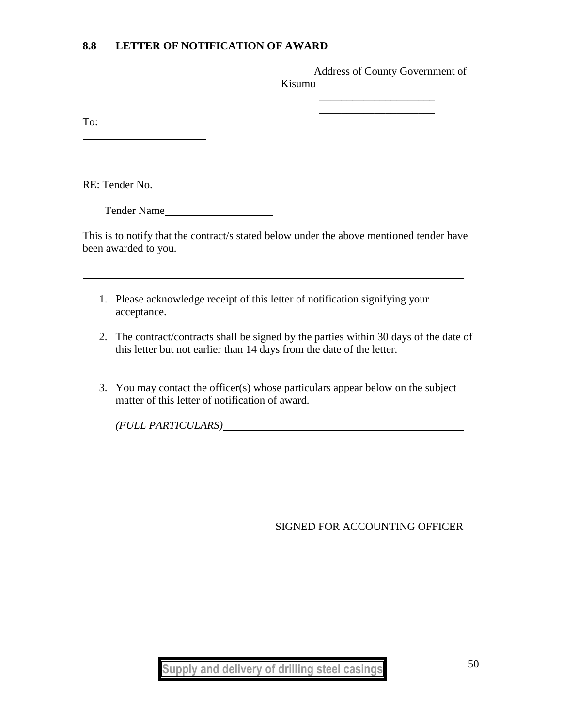#### **8.8 LETTER OF NOTIFICATION OF AWARD**

|                                                                                                                                                        | Address of County Government of<br>Kisumu |
|--------------------------------------------------------------------------------------------------------------------------------------------------------|-------------------------------------------|
| <u> 1989 - Johann Barnett, fransk politiker (d. 1989)</u>                                                                                              |                                           |
| <u> 1989 - Johann Harry Harry Harry Harry Harry Harry Harry Harry Harry Harry Harry Harry Harry Harry Harry Harry</u><br>RE: Tender No.<br>Tender Name |                                           |
| This is to notify that the contract/s stated below under the above mentioned tender have<br>been awarded to you.                                       |                                           |
|                                                                                                                                                        |                                           |

- 1. Please acknowledge receipt of this letter of notification signifying your acceptance.
- 2. The contract/contracts shall be signed by the parties within 30 days of the date of this letter but not earlier than 14 days from the date of the letter.
- 3. You may contact the officer(s) whose particulars appear below on the subject matter of this letter of notification of award.

<u> 1989 - Johann Barbara, marka a shekara tsa 1989 - An tsa 1989 - An tsa 1989 - An tsa 1989 - An tsa 1989 - An</u>

*(FULL PARTICULARS)*

SIGNED FOR ACCOUNTING OFFICER